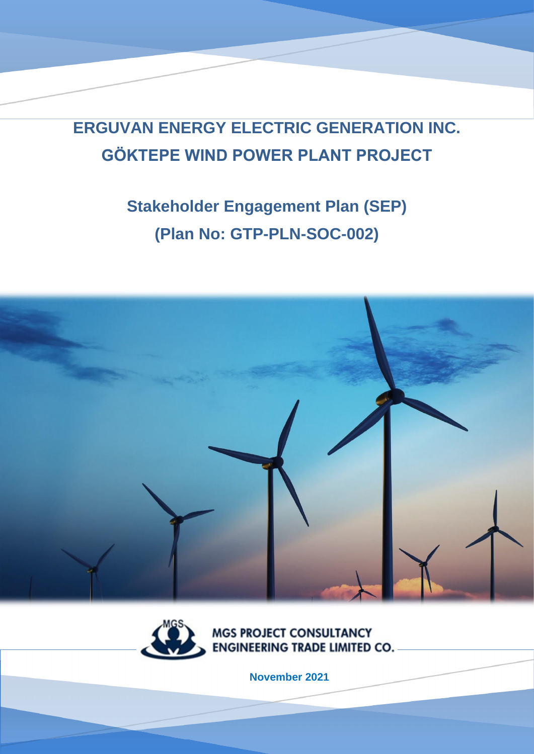**ERGUVAN ENERGY ELECTRIC GENERATION INC. GÖKTEPE WIND POWER PLANT PROJECT**

# **Stakeholder Engagement Plan (SEP) (Plan No: GTP-PLN-SOC-002)**





**MGS PROJECT CONSULTANCY ENGINEERING TRADE LIMITED CO.** 

**November 2021**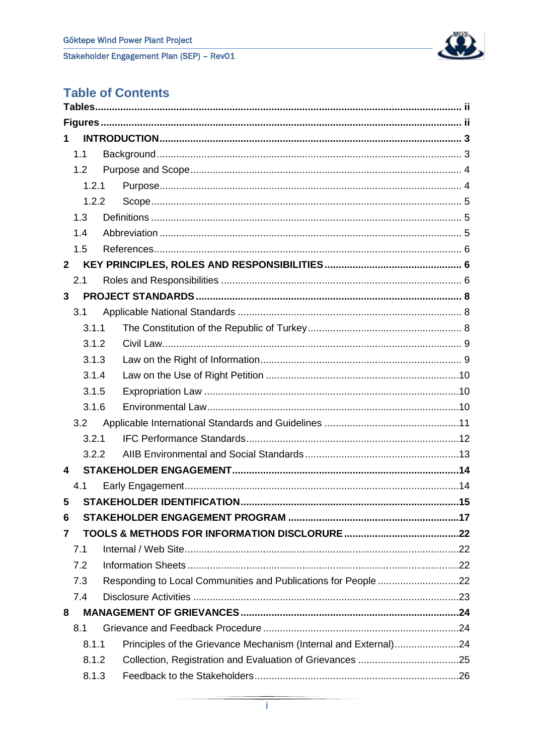

## **Table of Contents**

| $\mathbf 1$  |                                                                 |     |
|--------------|-----------------------------------------------------------------|-----|
| 1.1          |                                                                 |     |
| 1.2          |                                                                 |     |
| 1.2.1        |                                                                 |     |
| 1.2.2        |                                                                 |     |
| 1.3          |                                                                 |     |
| 1.4          |                                                                 |     |
| 1.5          |                                                                 |     |
| $\mathbf{2}$ |                                                                 |     |
| 2.1          |                                                                 |     |
| 3            |                                                                 |     |
| 3.1          |                                                                 |     |
| 3.1.1        |                                                                 |     |
| 3.1.2        |                                                                 |     |
| 3.1.3        |                                                                 |     |
| 3.1.4        |                                                                 |     |
| 3.1.5        |                                                                 |     |
| 3.1.6        |                                                                 |     |
| 3.2          |                                                                 |     |
| 3.2.1        |                                                                 |     |
| 3.2.2        |                                                                 |     |
| 4            |                                                                 |     |
| 4.1          |                                                                 |     |
| 5            | <b>STAKEHOLDER IDENTIFICATION</b>                               | .15 |
| 6            |                                                                 |     |
| 7            |                                                                 |     |
| 7.1          |                                                                 |     |
| 7.2          |                                                                 |     |
| 7.3          | Responding to Local Communities and Publications for People 22  |     |
| 7.4          |                                                                 |     |
| 8            |                                                                 |     |
| 8.1          |                                                                 |     |
| 8.1.1        | Principles of the Grievance Mechanism (Internal and External)24 |     |
| 8.1.2        |                                                                 |     |
| 8.1.3        |                                                                 |     |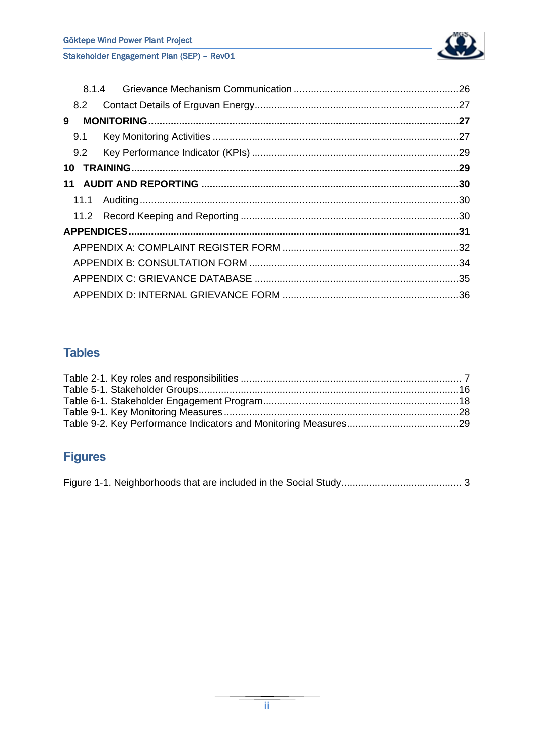

|    | 8.2 |  |  |
|----|-----|--|--|
| 9  |     |  |  |
|    | 9.1 |  |  |
|    | 9.2 |  |  |
| 10 |     |  |  |
| 11 |     |  |  |
|    |     |  |  |
|    |     |  |  |
|    |     |  |  |
|    |     |  |  |
|    |     |  |  |
|    |     |  |  |
|    |     |  |  |
|    |     |  |  |

## <span id="page-2-0"></span>**Tables**

## <span id="page-2-1"></span>**Figures**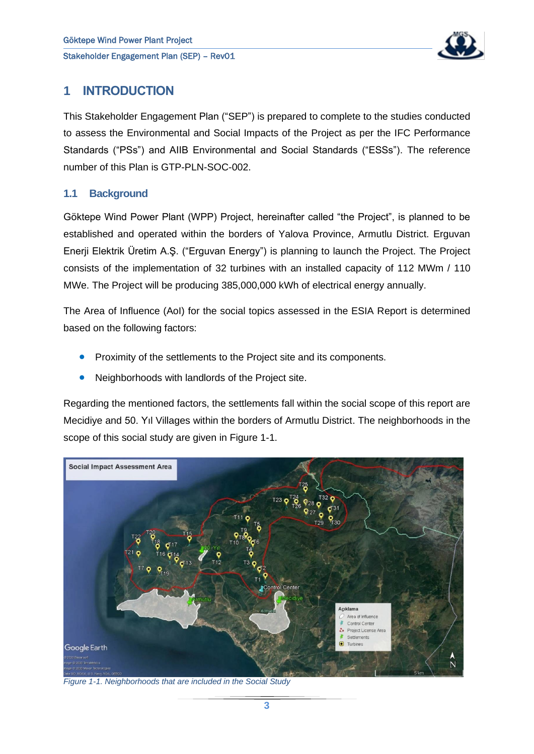

## <span id="page-3-0"></span>**1 INTRODUCTION**

This Stakeholder Engagement Plan ("SEP") is prepared to complete to the studies conducted to assess the Environmental and Social Impacts of the Project as per the IFC Performance Standards ("PSs") and AIIB Environmental and Social Standards ("ESSs"). The reference number of this Plan is GTP-PLN-SOC-002.

#### <span id="page-3-1"></span>**1.1 Background**

Göktepe Wind Power Plant (WPP) Project, hereinafter called "the Project", is planned to be established and operated within the borders of Yalova Province, Armutlu District. Erguvan Enerji Elektrik Üretim A.Ş. ("Erguvan Energy") is planning to launch the Project. The Project consists of the implementation of 32 turbines with an installed capacity of 112 MWm / 110 MWe. The Project will be producing 385,000,000 kWh of electrical energy annually.

The Area of Influence (AoI) for the social topics assessed in the ESIA Report is determined based on the following factors:

- Proximity of the settlements to the Project site and its components.
- Neighborhoods with landlords of the Project site.

Regarding the mentioned factors, the settlements fall within the social scope of this report are Mecidiye and 50. Yıl Villages within the borders of Armutlu District. The neighborhoods in the scope of this social study are given in [Figure 1-1.](#page-3-2)

<span id="page-3-2"></span>

*Figure 1-1. Neighborhoods that are included in the Social Study*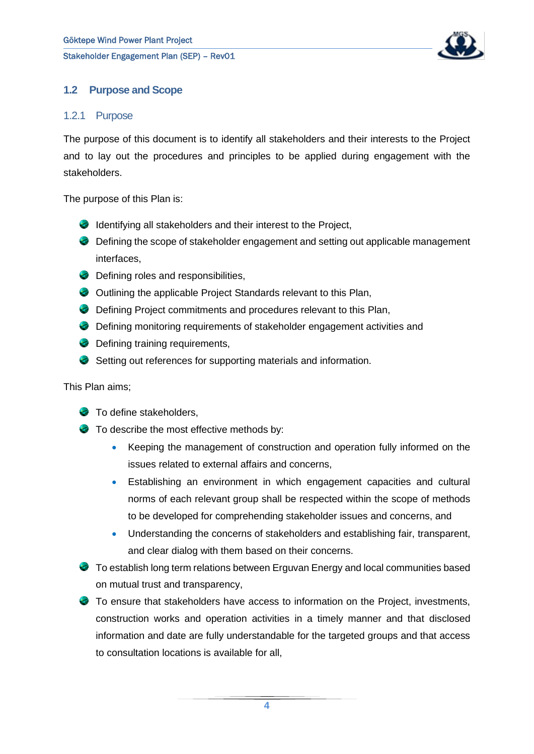

#### <span id="page-4-0"></span>**1.2 Purpose and Scope**

#### <span id="page-4-1"></span>1.2.1 Purpose

The purpose of this document is to identify all stakeholders and their interests to the Project and to lay out the procedures and principles to be applied during engagement with the stakeholders.

The purpose of this Plan is:

- **IDENTIFYING ALL STATES** and their interest to the Project,
- Defining the scope of stakeholder engagement and setting out applicable management interfaces,
- **Defining roles and responsibilities,**
- Outlining the applicable Project Standards relevant to this Plan,
- **C** Defining Project commitments and procedures relevant to this Plan,
- Defining monitoring requirements of stakeholder engagement activities and
- **Defining training requirements,**
- Setting out references for supporting materials and information.

This Plan aims;

- **To define stakeholders,**
- To describe the most effective methods by:
	- Keeping the management of construction and operation fully informed on the issues related to external affairs and concerns,
	- Establishing an environment in which engagement capacities and cultural norms of each relevant group shall be respected within the scope of methods to be developed for comprehending stakeholder issues and concerns, and
	- Understanding the concerns of stakeholders and establishing fair, transparent, and clear dialog with them based on their concerns.
- To establish long term relations between Erguvan Energy and local communities based on mutual trust and transparency,
- To ensure that stakeholders have access to information on the Project, investments, construction works and operation activities in a timely manner and that disclosed information and date are fully understandable for the targeted groups and that access to consultation locations is available for all,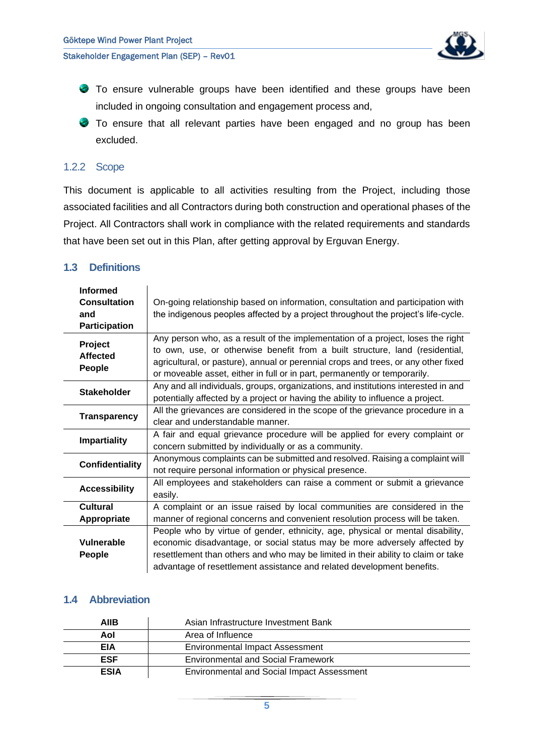

- To ensure vulnerable groups have been identified and these groups have been included in ongoing consultation and engagement process and,
- To ensure that all relevant parties have been engaged and no group has been excluded.

#### <span id="page-5-0"></span>1.2.2 Scope

This document is applicable to all activities resulting from the Project, including those associated facilities and all Contractors during both construction and operational phases of the Project. All Contractors shall work in compliance with the related requirements and standards that have been set out in this Plan, after getting approval by Erguvan Energy.

#### <span id="page-5-1"></span>**1.3 Definitions**

| <b>Informed</b><br><b>Consultation</b><br>and<br><b>Participation</b> | On-going relationship based on information, consultation and participation with<br>the indigenous peoples affected by a project throughout the project's life-cycle.                                                                                                                                                               |
|-----------------------------------------------------------------------|------------------------------------------------------------------------------------------------------------------------------------------------------------------------------------------------------------------------------------------------------------------------------------------------------------------------------------|
| Project<br><b>Affected</b><br>People                                  | Any person who, as a result of the implementation of a project, loses the right<br>to own, use, or otherwise benefit from a built structure, land (residential,<br>agricultural, or pasture), annual or perennial crops and trees, or any other fixed<br>or moveable asset, either in full or in part, permanently or temporarily. |
| <b>Stakeholder</b>                                                    | Any and all individuals, groups, organizations, and institutions interested in and<br>potentially affected by a project or having the ability to influence a project.                                                                                                                                                              |
| <b>Transparency</b>                                                   | All the grievances are considered in the scope of the grievance procedure in a<br>clear and understandable manner.                                                                                                                                                                                                                 |
| <b>Impartiality</b>                                                   | A fair and equal grievance procedure will be applied for every complaint or<br>concern submitted by individually or as a community.                                                                                                                                                                                                |
| <b>Confidentiality</b>                                                | Anonymous complaints can be submitted and resolved. Raising a complaint will<br>not require personal information or physical presence.                                                                                                                                                                                             |
| <b>Accessibility</b>                                                  | All employees and stakeholders can raise a comment or submit a grievance<br>easily.                                                                                                                                                                                                                                                |
| Cultural<br>Appropriate                                               | A complaint or an issue raised by local communities are considered in the<br>manner of regional concerns and convenient resolution process will be taken.                                                                                                                                                                          |
| Vulnerable<br><b>People</b>                                           | People who by virtue of gender, ethnicity, age, physical or mental disability,<br>economic disadvantage, or social status may be more adversely affected by<br>resettlement than others and who may be limited in their ability to claim or take<br>advantage of resettlement assistance and related development benefits.         |

#### <span id="page-5-2"></span>**1.4 Abbreviation**

| AIIB        | Asian Infrastructure Investment Bank              |  |
|-------------|---------------------------------------------------|--|
| Aol         | Area of Influence                                 |  |
| EIA         | <b>Environmental Impact Assessment</b>            |  |
| <b>ESF</b>  | <b>Environmental and Social Framework</b>         |  |
| <b>ESIA</b> | <b>Environmental and Social Impact Assessment</b> |  |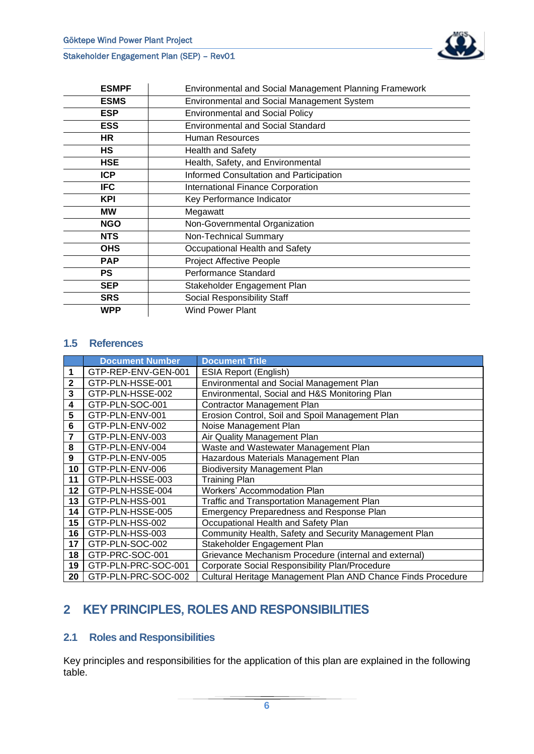| <b>ESMPF</b> | <b>Environmental and Social Management Planning Framework</b> |
|--------------|---------------------------------------------------------------|
| <b>ESMS</b>  | <b>Environmental and Social Management System</b>             |
| <b>ESP</b>   | <b>Environmental and Social Policy</b>                        |
| <b>ESS</b>   | <b>Environmental and Social Standard</b>                      |
| HR           | Human Resources                                               |
| НS           | <b>Health and Safety</b>                                      |
| <b>HSE</b>   | Health, Safety, and Environmental                             |
| <b>ICP</b>   | Informed Consultation and Participation                       |
| <b>IFC</b>   | <b>International Finance Corporation</b>                      |
| <b>KPI</b>   | Key Performance Indicator                                     |
| <b>MW</b>    | Megawatt                                                      |
| <b>NGO</b>   | Non-Governmental Organization                                 |
| <b>NTS</b>   | Non-Technical Summary                                         |
| <b>OHS</b>   | Occupational Health and Safety                                |
| <b>PAP</b>   | <b>Project Affective People</b>                               |
| <b>PS</b>    | Performance Standard                                          |
| <b>SEP</b>   | Stakeholder Engagement Plan                                   |
| <b>SRS</b>   | Social Responsibility Staff                                   |
| <b>WPP</b>   | <b>Wind Power Plant</b>                                       |

#### <span id="page-6-0"></span>**1.5 References**

|              | <b>Document Number</b> | <b>Document Title</b>                                        |
|--------------|------------------------|--------------------------------------------------------------|
| 1            | GTP-REP-ENV-GEN-001    | <b>ESIA Report (English)</b>                                 |
| $\mathbf{2}$ | GTP-PLN-HSSE-001       | Environmental and Social Management Plan                     |
| 3            | GTP-PLN-HSSE-002       | Environmental, Social and H&S Monitoring Plan                |
| 4            | GTP-PLN-SOC-001        | <b>Contractor Management Plan</b>                            |
| 5            | GTP-PLN-ENV-001        | Erosion Control, Soil and Spoil Management Plan              |
| 6            | GTP-PLN-ENV-002        | Noise Management Plan                                        |
| 7            | GTP-PLN-ENV-003        | Air Quality Management Plan                                  |
| 8            | GTP-PLN-ENV-004        | Waste and Wastewater Management Plan                         |
| 9            | GTP-PLN-ENV-005        | Hazardous Materials Management Plan                          |
| 10           | GTP-PLN-ENV-006        | <b>Biodiversity Management Plan</b>                          |
| 11           | GTP-PLN-HSSE-003       | <b>Training Plan</b>                                         |
| 12           | GTP-PLN-HSSE-004       | Workers' Accommodation Plan                                  |
| 13           | GTP-PLN-HSS-001        | <b>Traffic and Transportation Management Plan</b>            |
| 14           | GTP-PLN-HSSE-005       | Emergency Preparedness and Response Plan                     |
| 15           | GTP-PLN-HSS-002        | Occupational Health and Safety Plan                          |
| 16           | GTP-PLN-HSS-003        | Community Health, Safety and Security Management Plan        |
| 17           | GTP-PLN-SOC-002        | Stakeholder Engagement Plan                                  |
| 18           | GTP-PRC-SOC-001        | Grievance Mechanism Procedure (internal and external)        |
| 19           | GTP-PLN-PRC-SOC-001    | Corporate Social Responsibility Plan/Procedure               |
| 20           | GTP-PLN-PRC-SOC-002    | Cultural Heritage Management Plan AND Chance Finds Procedure |

## <span id="page-6-1"></span>**2 KEY PRINCIPLES, ROLES AND RESPONSIBILITIES**

#### <span id="page-6-2"></span>**2.1 Roles and Responsibilities**

Key principles and responsibilities for the application of this plan are explained in the following table.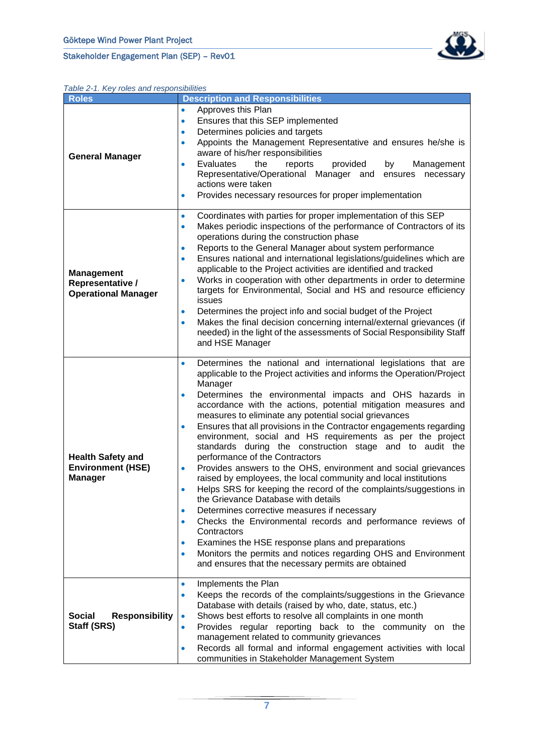

#### <span id="page-7-0"></span>*Table 2-1. Key roles and responsibilities*

| <b>Roles</b>                                                           | <b>Description and Responsibilities</b>                                                                                                                                                                                                                                                                                                                                                                                                                                                                                                                                                                                                                                                                                                                                                                                                                                                                                                                                                                                                                                                                                                                                                                                                               |  |  |
|------------------------------------------------------------------------|-------------------------------------------------------------------------------------------------------------------------------------------------------------------------------------------------------------------------------------------------------------------------------------------------------------------------------------------------------------------------------------------------------------------------------------------------------------------------------------------------------------------------------------------------------------------------------------------------------------------------------------------------------------------------------------------------------------------------------------------------------------------------------------------------------------------------------------------------------------------------------------------------------------------------------------------------------------------------------------------------------------------------------------------------------------------------------------------------------------------------------------------------------------------------------------------------------------------------------------------------------|--|--|
| <b>General Manager</b>                                                 | Approves this Plan<br>$\bullet$<br>Ensures that this SEP implemented<br>۰<br>Determines policies and targets<br>$\bullet$<br>Appoints the Management Representative and ensures he/she is<br>$\bullet$<br>aware of his/her responsibilities<br>Evaluates<br>the<br>reports<br>provided<br>by<br>Management<br>۰<br>Representative/Operational Manager and<br>ensures<br>necessary<br>actions were taken<br>Provides necessary resources for proper implementation<br>$\bullet$                                                                                                                                                                                                                                                                                                                                                                                                                                                                                                                                                                                                                                                                                                                                                                        |  |  |
| <b>Management</b><br>Representative /<br><b>Operational Manager</b>    | Coordinates with parties for proper implementation of this SEP<br>$\bullet$<br>Makes periodic inspections of the performance of Contractors of its<br>$\bullet$<br>operations during the construction phase<br>Reports to the General Manager about system performance<br>$\bullet$<br>Ensures national and international legislations/guidelines which are<br>$\bullet$<br>applicable to the Project activities are identified and tracked<br>Works in cooperation with other departments in order to determine<br>$\bullet$<br>targets for Environmental, Social and HS and resource efficiency<br>issues<br>Determines the project info and social budget of the Project<br>٠<br>Makes the final decision concerning internal/external grievances (if<br>$\bullet$<br>needed) in the light of the assessments of Social Responsibility Staff<br>and HSE Manager                                                                                                                                                                                                                                                                                                                                                                                    |  |  |
| <b>Health Safety and</b><br><b>Environment (HSE)</b><br><b>Manager</b> | Determines the national and international legislations that are<br>$\bullet$<br>applicable to the Project activities and informs the Operation/Project<br>Manager<br>Determines the environmental impacts and OHS hazards in<br>$\bullet$<br>accordance with the actions, potential mitigation measures and<br>measures to eliminate any potential social grievances<br>Ensures that all provisions in the Contractor engagements regarding<br>$\bullet$<br>environment, social and HS requirements as per the project<br>standards during the construction stage and to audit the<br>performance of the Contractors<br>Provides answers to the OHS, environment and social grievances<br>$\bullet$<br>raised by employees, the local community and local institutions<br>Helps SRS for keeping the record of the complaints/suggestions in<br>$\bullet$<br>the Grievance Database with details<br>Determines corrective measures if necessary<br>$\bullet$<br>Checks the Environmental records and performance reviews of<br>$\bullet$<br>Contractors<br>Examines the HSE response plans and preparations<br>$\bullet$<br>Monitors the permits and notices regarding OHS and Environment<br>٠<br>and ensures that the necessary permits are obtained |  |  |
| <b>Social</b><br><b>Responsibility</b><br>Staff (SRS)                  | Implements the Plan<br>$\bullet$<br>Keeps the records of the complaints/suggestions in the Grievance<br>۰<br>Database with details (raised by who, date, status, etc.)<br>Shows best efforts to resolve all complaints in one month<br>$\bullet$<br>Provides regular reporting back to the community on the<br>$\bullet$<br>management related to community grievances<br>Records all formal and informal engagement activities with local<br>$\bullet$<br>communities in Stakeholder Management System                                                                                                                                                                                                                                                                                                                                                                                                                                                                                                                                                                                                                                                                                                                                               |  |  |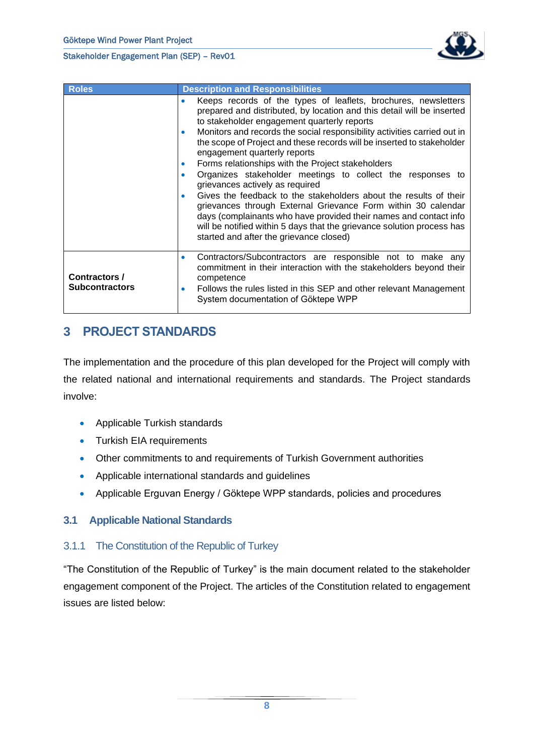

| <b>Roles</b>                           | <b>Description and Responsibilities</b>                                                                                                                                                                                                                                                                                                                                                                                                                                                                                                                                                                                                                                                                                                                                                                                                                                                                              |  |  |  |
|----------------------------------------|----------------------------------------------------------------------------------------------------------------------------------------------------------------------------------------------------------------------------------------------------------------------------------------------------------------------------------------------------------------------------------------------------------------------------------------------------------------------------------------------------------------------------------------------------------------------------------------------------------------------------------------------------------------------------------------------------------------------------------------------------------------------------------------------------------------------------------------------------------------------------------------------------------------------|--|--|--|
|                                        | Keeps records of the types of leaflets, brochures, newsletters<br>۰<br>prepared and distributed, by location and this detail will be inserted<br>to stakeholder engagement quarterly reports<br>Monitors and records the social responsibility activities carried out in<br>$\bullet$<br>the scope of Project and these records will be inserted to stakeholder<br>engagement quarterly reports<br>Forms relationships with the Project stakeholders<br>$\bullet$<br>Organizes stakeholder meetings to collect the responses to<br>۰<br>grievances actively as required<br>Gives the feedback to the stakeholders about the results of their<br>$\bullet$<br>grievances through External Grievance Form within 30 calendar<br>days (complainants who have provided their names and contact info<br>will be notified within 5 days that the grievance solution process has<br>started and after the grievance closed) |  |  |  |
| Contractors /<br><b>Subcontractors</b> | Contractors/Subcontractors are responsible not to make any<br>۰<br>commitment in their interaction with the stakeholders beyond their<br>competence<br>Follows the rules listed in this SEP and other relevant Management<br>$\bullet$<br>System documentation of Göktepe WPP                                                                                                                                                                                                                                                                                                                                                                                                                                                                                                                                                                                                                                        |  |  |  |

## <span id="page-8-0"></span>**3 PROJECT STANDARDS**

The implementation and the procedure of this plan developed for the Project will comply with the related national and international requirements and standards. The Project standards involve:

- Applicable Turkish standards
- Turkish EIA requirements
- Other commitments to and requirements of Turkish Government authorities
- Applicable international standards and guidelines
- Applicable Erguvan Energy / Göktepe WPP standards, policies and procedures

#### <span id="page-8-1"></span>**3.1 Applicable National Standards**

#### <span id="page-8-2"></span>3.1.1 The Constitution of the Republic of Turkey

"The Constitution of the Republic of Turkey" is the main document related to the stakeholder engagement component of the Project. The articles of the Constitution related to engagement issues are listed below: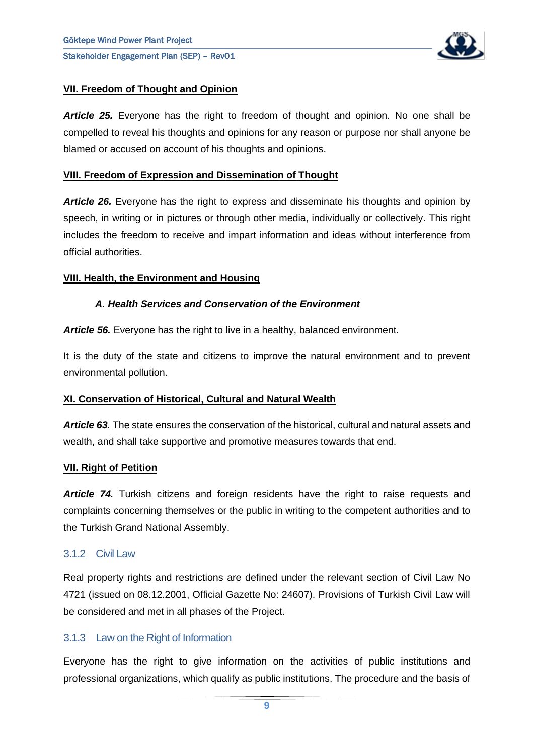

#### **VII. Freedom of Thought and Opinion**

*Article 25.* Everyone has the right to freedom of thought and opinion. No one shall be compelled to reveal his thoughts and opinions for any reason or purpose nor shall anyone be blamed or accused on account of his thoughts and opinions.

#### **VIII. Freedom of Expression and Dissemination of Thought**

*Article 26.* Everyone has the right to express and disseminate his thoughts and opinion by speech, in writing or in pictures or through other media, individually or collectively. This right includes the freedom to receive and impart information and ideas without interference from official authorities.

#### **VIII. Health, the Environment and Housing**

#### *A. Health Services and Conservation of the Environment*

**Article 56.** Everyone has the right to live in a healthy, balanced environment.

It is the duty of the state and citizens to improve the natural environment and to prevent environmental pollution.

#### **XI. Conservation of Historical, Cultural and Natural Wealth**

*Article 63.* The state ensures the conservation of the historical, cultural and natural assets and wealth, and shall take supportive and promotive measures towards that end.

#### **VII. Right of Petition**

*Article 74.* Turkish citizens and foreign residents have the right to raise requests and complaints concerning themselves or the public in writing to the competent authorities and to the Turkish Grand National Assembly.

#### <span id="page-9-0"></span>3.1.2 Civil Law

Real property rights and restrictions are defined under the relevant section of Civil Law No 4721 (issued on 08.12.2001, Official Gazette No: 24607). Provisions of Turkish Civil Law will be considered and met in all phases of the Project.

#### <span id="page-9-1"></span>3.1.3 Law on the Right of Information

Everyone has the right to give information on the activities of public institutions and professional organizations, which qualify as public institutions. The procedure and the basis of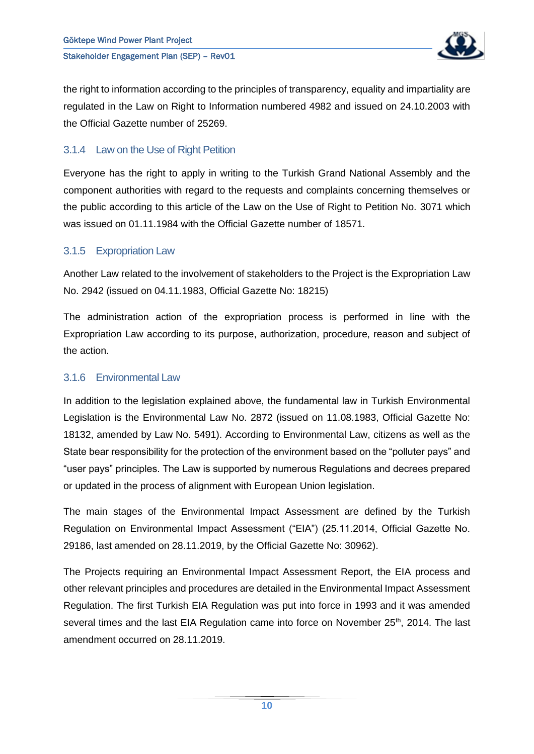

the right to information according to the principles of transparency, equality and impartiality are regulated in the Law on Right to Information numbered 4982 and issued on 24.10.2003 with the Official Gazette number of 25269.

### <span id="page-10-0"></span>3.1.4 Law on the Use of Right Petition

Everyone has the right to apply in writing to the Turkish Grand National Assembly and the component authorities with regard to the requests and complaints concerning themselves or the public according to this article of the Law on the Use of Right to Petition No. 3071 which was issued on 01.11.1984 with the Official Gazette number of 18571.

#### <span id="page-10-1"></span>3.1.5 Expropriation Law

Another Law related to the involvement of stakeholders to the Project is the Expropriation Law No. 2942 (issued on 04.11.1983, Official Gazette No: 18215)

The administration action of the expropriation process is performed in line with the Expropriation Law according to its purpose, authorization, procedure, reason and subject of the action.

#### <span id="page-10-2"></span>3.1.6 Environmental Law

In addition to the legislation explained above, the fundamental law in Turkish Environmental Legislation is the Environmental Law No. 2872 (issued on 11.08.1983, Official Gazette No: 18132, amended by Law No. 5491). According to Environmental Law, citizens as well as the State bear responsibility for the protection of the environment based on the "polluter pays" and "user pays" principles. The Law is supported by numerous Regulations and decrees prepared or updated in the process of alignment with European Union legislation.

The main stages of the Environmental Impact Assessment are defined by the Turkish Regulation on Environmental Impact Assessment ("EIA") (25.11.2014, Official Gazette No. 29186, last amended on 28.11.2019, by the Official Gazette No: 30962).

The Projects requiring an Environmental Impact Assessment Report, the EIA process and other relevant principles and procedures are detailed in the Environmental Impact Assessment Regulation. The first Turkish EIA Regulation was put into force in 1993 and it was amended several times and the last EIA Regulation came into force on November 25<sup>th</sup>, 2014. The last amendment occurred on 28.11.2019.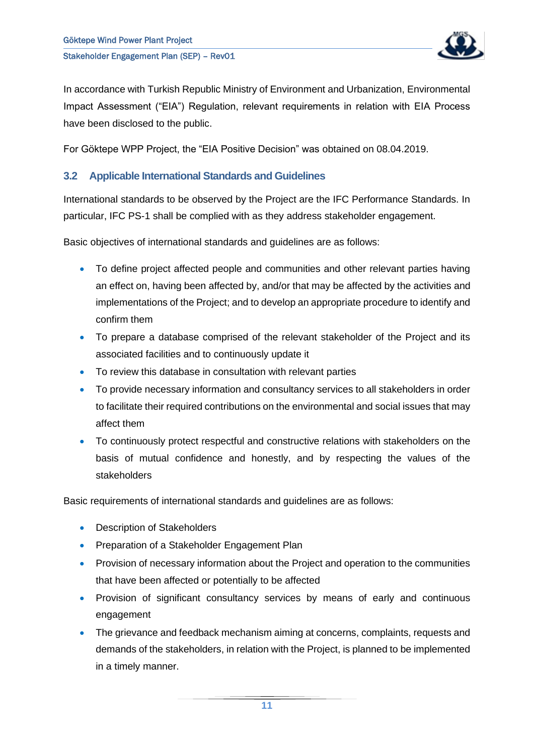

In accordance with Turkish Republic Ministry of Environment and Urbanization, Environmental Impact Assessment ("EIA") Regulation, relevant requirements in relation with EIA Process have been disclosed to the public.

For Göktepe WPP Project, the "EIA Positive Decision" was obtained on 08.04.2019.

#### <span id="page-11-0"></span>**3.2 Applicable International Standards and Guidelines**

International standards to be observed by the Project are the IFC Performance Standards. In particular, IFC PS-1 shall be complied with as they address stakeholder engagement.

Basic objectives of international standards and guidelines are as follows:

- To define project affected people and communities and other relevant parties having an effect on, having been affected by, and/or that may be affected by the activities and implementations of the Project; and to develop an appropriate procedure to identify and confirm them
- To prepare a database comprised of the relevant stakeholder of the Project and its associated facilities and to continuously update it
- To review this database in consultation with relevant parties
- To provide necessary information and consultancy services to all stakeholders in order to facilitate their required contributions on the environmental and social issues that may affect them
- To continuously protect respectful and constructive relations with stakeholders on the basis of mutual confidence and honestly, and by respecting the values of the stakeholders

Basic requirements of international standards and guidelines are as follows:

- Description of Stakeholders
- Preparation of a Stakeholder Engagement Plan
- Provision of necessary information about the Project and operation to the communities that have been affected or potentially to be affected
- Provision of significant consultancy services by means of early and continuous engagement
- The grievance and feedback mechanism aiming at concerns, complaints, requests and demands of the stakeholders, in relation with the Project, is planned to be implemented in a timely manner.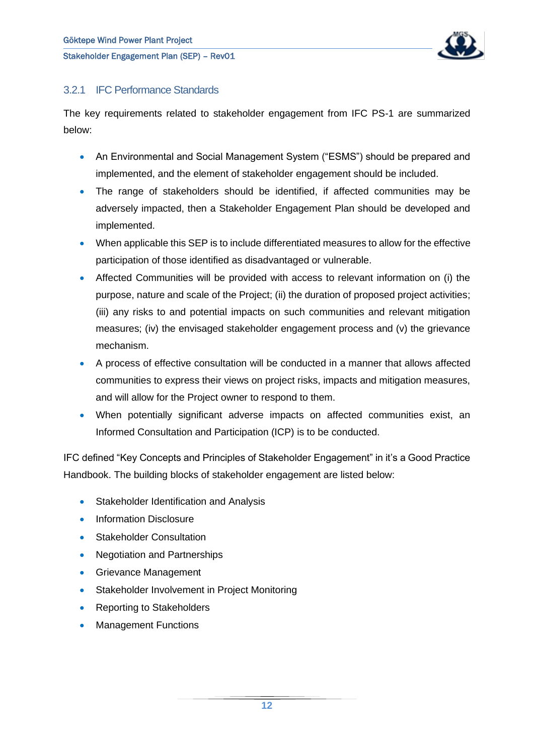

### <span id="page-12-0"></span>3.2.1 IFC Performance Standards

The key requirements related to stakeholder engagement from IFC PS-1 are summarized below:

- An Environmental and Social Management System ("ESMS") should be prepared and implemented, and the element of stakeholder engagement should be included.
- The range of stakeholders should be identified, if affected communities may be adversely impacted, then a Stakeholder Engagement Plan should be developed and implemented.
- When applicable this SEP is to include differentiated measures to allow for the effective participation of those identified as disadvantaged or vulnerable.
- Affected Communities will be provided with access to relevant information on (i) the purpose, nature and scale of the Project; (ii) the duration of proposed project activities; (iii) any risks to and potential impacts on such communities and relevant mitigation measures; (iv) the envisaged stakeholder engagement process and (v) the grievance mechanism.
- A process of effective consultation will be conducted in a manner that allows affected communities to express their views on project risks, impacts and mitigation measures, and will allow for the Project owner to respond to them.
- When potentially significant adverse impacts on affected communities exist, an Informed Consultation and Participation (ICP) is to be conducted.

IFC defined "Key Concepts and Principles of Stakeholder Engagement" in it's a Good Practice Handbook. The building blocks of stakeholder engagement are listed below:

- Stakeholder Identification and Analysis
- Information Disclosure
- Stakeholder Consultation
- Negotiation and Partnerships
- Grievance Management
- Stakeholder Involvement in Project Monitoring
- Reporting to Stakeholders
- Management Functions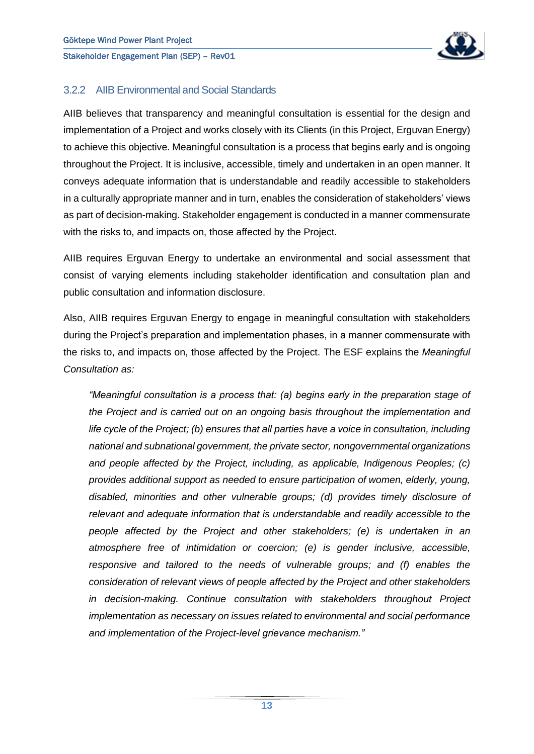

#### <span id="page-13-0"></span>3.2.2 AIIB Environmental and Social Standards

AIIB believes that transparency and meaningful consultation is essential for the design and implementation of a Project and works closely with its Clients (in this Project, Erguvan Energy) to achieve this objective. Meaningful consultation is a process that begins early and is ongoing throughout the Project. It is inclusive, accessible, timely and undertaken in an open manner. It conveys adequate information that is understandable and readily accessible to stakeholders in a culturally appropriate manner and in turn, enables the consideration of stakeholders' views as part of decision-making. Stakeholder engagement is conducted in a manner commensurate with the risks to, and impacts on, those affected by the Project.

AIIB requires Erguvan Energy to undertake an environmental and social assessment that consist of varying elements including stakeholder identification and consultation plan and public consultation and information disclosure.

Also, AIIB requires Erguvan Energy to engage in meaningful consultation with stakeholders during the Project's preparation and implementation phases, in a manner commensurate with the risks to, and impacts on, those affected by the Project. The ESF explains the *Meaningful Consultation as:* 

*"Meaningful consultation is a process that: (a) begins early in the preparation stage of the Project and is carried out on an ongoing basis throughout the implementation and life cycle of the Project; (b) ensures that all parties have a voice in consultation, including national and subnational government, the private sector, nongovernmental organizations and people affected by the Project, including, as applicable, Indigenous Peoples; (c) provides additional support as needed to ensure participation of women, elderly, young, disabled, minorities and other vulnerable groups; (d) provides timely disclosure of relevant and adequate information that is understandable and readily accessible to the people affected by the Project and other stakeholders; (e) is undertaken in an atmosphere free of intimidation or coercion; (e) is gender inclusive, accessible, responsive and tailored to the needs of vulnerable groups; and (f) enables the consideration of relevant views of people affected by the Project and other stakeholders in decision-making. Continue consultation with stakeholders throughout Project implementation as necessary on issues related to environmental and social performance and implementation of the Project-level grievance mechanism."*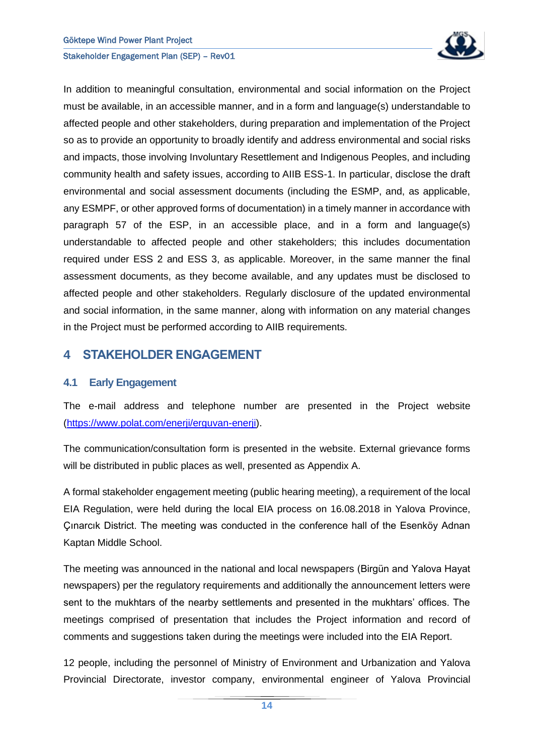

In addition to meaningful consultation, environmental and social information on the Project must be available, in an accessible manner, and in a form and language(s) understandable to affected people and other stakeholders, during preparation and implementation of the Project so as to provide an opportunity to broadly identify and address environmental and social risks and impacts, those involving Involuntary Resettlement and Indigenous Peoples, and including community health and safety issues, according to AIIB ESS-1. In particular, disclose the draft environmental and social assessment documents (including the ESMP, and, as applicable, any ESMPF, or other approved forms of documentation) in a timely manner in accordance with paragraph 57 of the ESP, in an accessible place, and in a form and language(s) understandable to affected people and other stakeholders; this includes documentation required under ESS 2 and ESS 3, as applicable. Moreover, in the same manner the final assessment documents, as they become available, and any updates must be disclosed to affected people and other stakeholders. Regularly disclosure of the updated environmental and social information, in the same manner, along with information on any material changes in the Project must be performed according to AIIB requirements.

### <span id="page-14-0"></span>**4 STAKEHOLDER ENGAGEMENT**

#### <span id="page-14-1"></span>**4.1 Early Engagement**

The e-mail address and telephone number are presented in the Project website [\(https://www.polat.com/enerji/erguvan-enerji\)](https://www.polat.com/enerji/erguvan-enerji).

The communication/consultation form is presented in the website. External grievance forms will be distributed in public places as well, presented as Appendix A.

A formal stakeholder engagement meeting (public hearing meeting), a requirement of the local EIA Regulation, were held during the local EIA process on 16.08.2018 in Yalova Province, Çınarcık District. The meeting was conducted in the conference hall of the Esenköy Adnan Kaptan Middle School.

The meeting was announced in the national and local newspapers (Birgün and Yalova Hayat newspapers) per the regulatory requirements and additionally the announcement letters were sent to the mukhtars of the nearby settlements and presented in the mukhtars' offices. The meetings comprised of presentation that includes the Project information and record of comments and suggestions taken during the meetings were included into the EIA Report.

12 people, including the personnel of Ministry of Environment and Urbanization and Yalova Provincial Directorate, investor company, environmental engineer of Yalova Provincial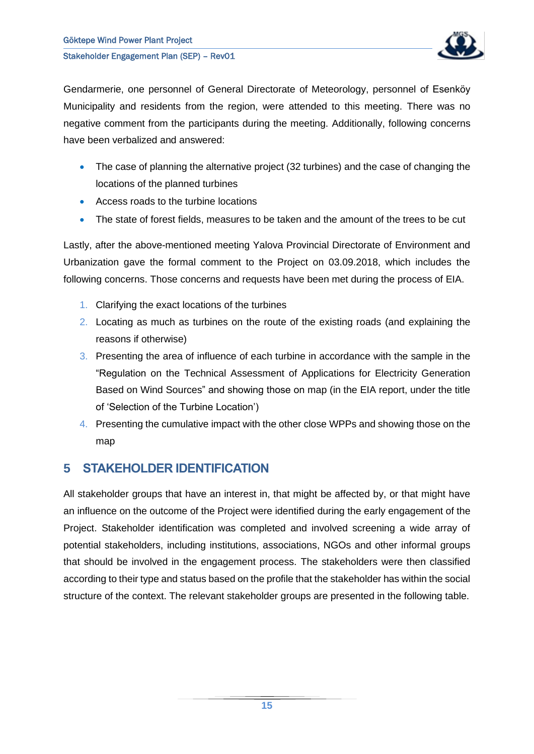

Gendarmerie, one personnel of General Directorate of Meteorology, personnel of Esenköy Municipality and residents from the region, were attended to this meeting. There was no negative comment from the participants during the meeting. Additionally, following concerns have been verbalized and answered:

- The case of planning the alternative project (32 turbines) and the case of changing the locations of the planned turbines
- Access roads to the turbine locations
- The state of forest fields, measures to be taken and the amount of the trees to be cut

Lastly, after the above-mentioned meeting Yalova Provincial Directorate of Environment and Urbanization gave the formal comment to the Project on 03.09.2018, which includes the following concerns. Those concerns and requests have been met during the process of EIA.

- 1. Clarifying the exact locations of the turbines
- 2. Locating as much as turbines on the route of the existing roads (and explaining the reasons if otherwise)
- 3. Presenting the area of influence of each turbine in accordance with the sample in the "Regulation on the Technical Assessment of Applications for Electricity Generation Based on Wind Sources" and showing those on map (in the EIA report, under the title of 'Selection of the Turbine Location')
- 4. Presenting the cumulative impact with the other close WPPs and showing those on the map

## <span id="page-15-0"></span>**5 STAKEHOLDER IDENTIFICATION**

All stakeholder groups that have an interest in, that might be affected by, or that might have an influence on the outcome of the Project were identified during the early engagement of the Project. Stakeholder identification was completed and involved screening a wide array of potential stakeholders, including institutions, associations, NGOs and other informal groups that should be involved in the engagement process. The stakeholders were then classified according to their type and status based on the profile that the stakeholder has within the social structure of the context. The relevant stakeholder groups are presented in the following table.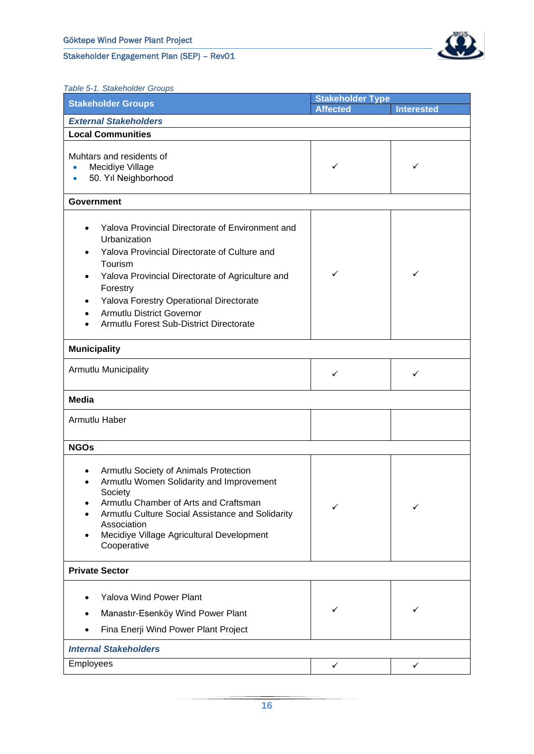

<span id="page-16-0"></span>*Table 5-1. Stakeholder Groups*

| <b>Stakeholder Groups</b>                                                                                                                                                                                                                                                                                                       | <b>Stakeholder Type</b> |                   |  |  |
|---------------------------------------------------------------------------------------------------------------------------------------------------------------------------------------------------------------------------------------------------------------------------------------------------------------------------------|-------------------------|-------------------|--|--|
|                                                                                                                                                                                                                                                                                                                                 | <b>Affected</b>         | <b>Interested</b> |  |  |
| <b>External Stakeholders</b>                                                                                                                                                                                                                                                                                                    |                         |                   |  |  |
| <b>Local Communities</b>                                                                                                                                                                                                                                                                                                        |                         |                   |  |  |
| Muhtars and residents of<br>Mecidiye Village<br>$\bullet$<br>50. Yıl Neighborhood                                                                                                                                                                                                                                               | ✓                       | ✓                 |  |  |
| <b>Government</b>                                                                                                                                                                                                                                                                                                               |                         |                   |  |  |
| Yalova Provincial Directorate of Environment and<br>Urbanization<br>Yalova Provincial Directorate of Culture and<br>Tourism<br>✓<br>✓<br>Yalova Provincial Directorate of Agriculture and<br>Forestry<br>Yalova Forestry Operational Directorate<br><b>Armutlu District Governor</b><br>Armutlu Forest Sub-District Directorate |                         |                   |  |  |
| <b>Municipality</b>                                                                                                                                                                                                                                                                                                             |                         |                   |  |  |
| Armutlu Municipality<br>✓<br>✓                                                                                                                                                                                                                                                                                                  |                         |                   |  |  |
| <b>Media</b>                                                                                                                                                                                                                                                                                                                    |                         |                   |  |  |
| Armutlu Haber                                                                                                                                                                                                                                                                                                                   |                         |                   |  |  |
| <b>NGOs</b>                                                                                                                                                                                                                                                                                                                     |                         |                   |  |  |
| Armutlu Society of Animals Protection<br>$\bullet$<br>Armutlu Women Solidarity and Improvement<br>Society<br>Armutlu Chamber of Arts and Craftsman<br>✓<br>✓<br>Armutlu Culture Social Assistance and Solidarity<br>Association<br>Mecidiye Village Agricultural Development<br>Cooperative                                     |                         |                   |  |  |
| <b>Private Sector</b>                                                                                                                                                                                                                                                                                                           |                         |                   |  |  |
| <b>Yalova Wind Power Plant</b><br>Manastır-Esenköy Wind Power Plant<br>Fina Enerji Wind Power Plant Project                                                                                                                                                                                                                     | ✓                       | ✓                 |  |  |
| <b>Internal Stakeholders</b>                                                                                                                                                                                                                                                                                                    |                         |                   |  |  |
| Employees                                                                                                                                                                                                                                                                                                                       | ✓                       | ✓                 |  |  |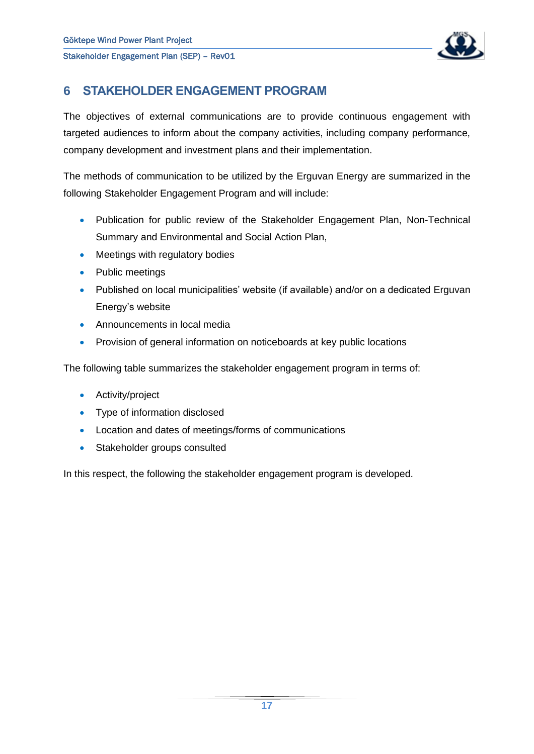

## <span id="page-17-0"></span>**6 STAKEHOLDER ENGAGEMENT PROGRAM**

The objectives of external communications are to provide continuous engagement with targeted audiences to inform about the company activities, including company performance, company development and investment plans and their implementation.

The methods of communication to be utilized by the Erguvan Energy are summarized in the following Stakeholder Engagement Program and will include:

- Publication for public review of the Stakeholder Engagement Plan, Non-Technical Summary and Environmental and Social Action Plan,
- Meetings with regulatory bodies
- Public meetings
- Published on local municipalities' website (if available) and/or on a dedicated Erguvan Energy's website
- Announcements in local media
- Provision of general information on noticeboards at key public locations

The following table summarizes the stakeholder engagement program in terms of:

- Activity/project
- Type of information disclosed
- Location and dates of meetings/forms of communications
- Stakeholder groups consulted

In this respect, the following the stakeholder engagement program is developed.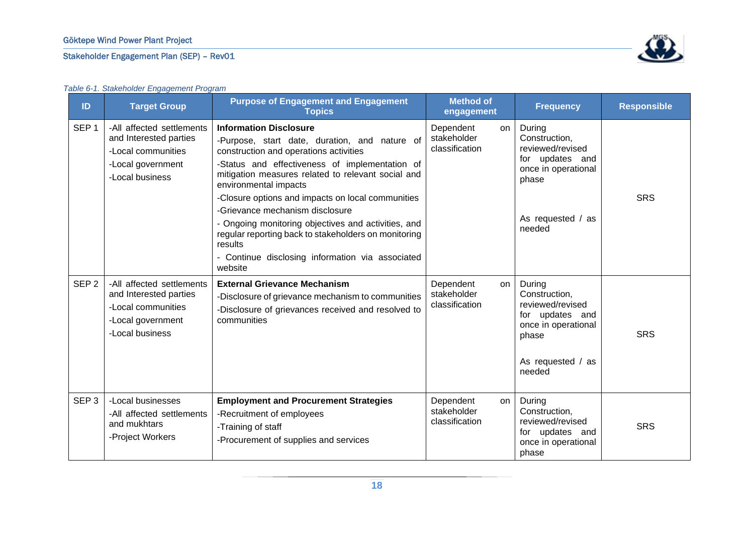#### Göktepe Wind Power Plant Project

#### Stakeholder Engagement Plan (SEP) – Rev01



<span id="page-18-0"></span>

| ID               | able $\sigma$ is dialonglass $\Xi$ igagement i ografin<br><b>Target Group</b>                                     | <b>Purpose of Engagement and Engagement</b><br><b>Topics</b>                                                                                                                                                                                                                                                                                                                                                                                                                                                                               | <b>Method of</b><br>engagement                   | <b>Frequency</b>                                                                                                              | <b>Responsible</b> |
|------------------|-------------------------------------------------------------------------------------------------------------------|--------------------------------------------------------------------------------------------------------------------------------------------------------------------------------------------------------------------------------------------------------------------------------------------------------------------------------------------------------------------------------------------------------------------------------------------------------------------------------------------------------------------------------------------|--------------------------------------------------|-------------------------------------------------------------------------------------------------------------------------------|--------------------|
| SEP <sub>1</sub> | -All affected settlements<br>and Interested parties<br>-Local communities<br>-Local government<br>-Local business | <b>Information Disclosure</b><br>-Purpose, start date, duration, and nature of<br>construction and operations activities<br>-Status and effectiveness of implementation of<br>mitigation measures related to relevant social and<br>environmental impacts<br>-Closure options and impacts on local communities<br>-Grievance mechanism disclosure<br>- Ongoing monitoring objectives and activities, and<br>regular reporting back to stakeholders on monitoring<br>results<br>- Continue disclosing information via associated<br>website | Dependent<br>on<br>stakeholder<br>classification | During<br>Construction,<br>reviewed/revised<br>for updates and<br>once in operational<br>phase<br>As requested / as<br>needed | <b>SRS</b>         |
| SEP <sub>2</sub> | -All affected settlements<br>and Interested parties<br>-Local communities<br>-Local government<br>-Local business | <b>External Grievance Mechanism</b><br>-Disclosure of grievance mechanism to communities<br>-Disclosure of grievances received and resolved to<br>communities                                                                                                                                                                                                                                                                                                                                                                              | Dependent<br>on<br>stakeholder<br>classification | During<br>Construction,<br>reviewed/revised<br>for updates and<br>once in operational<br>phase<br>As requested / as<br>needed | <b>SRS</b>         |
| SEP <sub>3</sub> | -Local businesses<br>-All affected settlements<br>and mukhtars<br>-Project Workers                                | <b>Employment and Procurement Strategies</b><br>-Recruitment of employees<br>-Training of staff<br>-Procurement of supplies and services                                                                                                                                                                                                                                                                                                                                                                                                   | Dependent<br>on<br>stakeholder<br>classification | During<br>Construction,<br>reviewed/revised<br>for updates and<br>once in operational<br>phase                                | <b>SRS</b>         |

#### *Table 6-1. Stakeholder Engagement Program*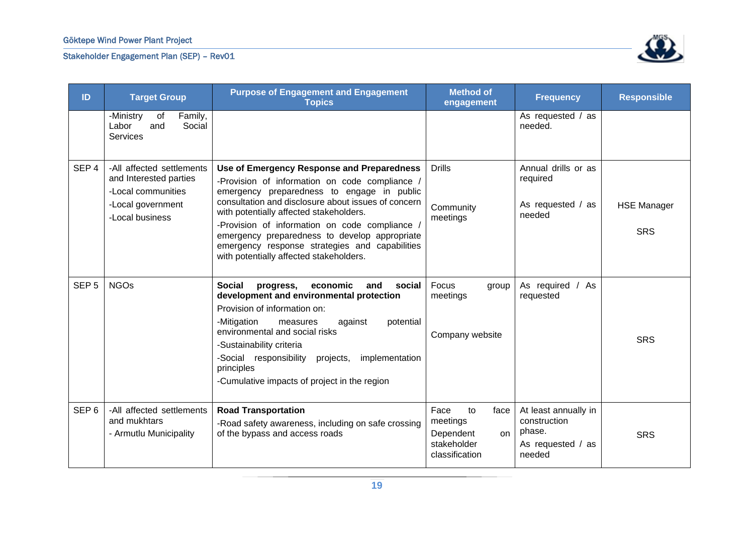

| ID               | <b>Target Group</b>                                                                                               | <b>Purpose of Engagement and Engagement</b><br><b>Topics</b>                                                                                                                                                                                                                                                                                                                                                                                 | <b>Method of</b><br>engagement                                                      | <b>Frequency</b>                                                              | <b>Responsible</b>               |
|------------------|-------------------------------------------------------------------------------------------------------------------|----------------------------------------------------------------------------------------------------------------------------------------------------------------------------------------------------------------------------------------------------------------------------------------------------------------------------------------------------------------------------------------------------------------------------------------------|-------------------------------------------------------------------------------------|-------------------------------------------------------------------------------|----------------------------------|
|                  | Family,<br>-Ministry<br>of<br>Social<br>Labor<br>and<br>Services                                                  |                                                                                                                                                                                                                                                                                                                                                                                                                                              |                                                                                     | As requested / as<br>needed.                                                  |                                  |
| SEP <sub>4</sub> | -All affected settlements<br>and Interested parties<br>-Local communities<br>-Local government<br>-Local business | Use of Emergency Response and Preparedness<br>-Provision of information on code compliance /<br>emergency preparedness to engage in public<br>consultation and disclosure about issues of concern<br>with potentially affected stakeholders.<br>-Provision of information on code compliance /<br>emergency preparedness to develop appropriate<br>emergency response strategies and capabilities<br>with potentially affected stakeholders. | <b>Drills</b><br>Community<br>meetings                                              | Annual drills or as<br>required<br>As requested / as<br>needed                | <b>HSE Manager</b><br><b>SRS</b> |
| SEP <sub>5</sub> | <b>NGOs</b>                                                                                                       | <b>Social</b><br>and<br>progress,<br>economic<br>social<br>development and environmental protection<br>Provision of information on:<br>-Mitigation<br>potential<br>measures<br>against<br>environmental and social risks<br>-Sustainability criteria<br>-Social responsibility<br>projects,<br>implementation<br>principles<br>-Cumulative impacts of project in the region                                                                  | Focus<br>group<br>meetings<br>Company website                                       | As required / As<br>requested                                                 | <b>SRS</b>                       |
| SEP <sub>6</sub> | -All affected settlements<br>and mukhtars<br>- Armutlu Municipality                                               | <b>Road Transportation</b><br>-Road safety awareness, including on safe crossing<br>of the bypass and access roads                                                                                                                                                                                                                                                                                                                           | Face<br>to<br>face<br>meetings<br>Dependent<br>on.<br>stakeholder<br>classification | At least annually in<br>construction<br>phase.<br>As requested / as<br>needed | <b>SRS</b>                       |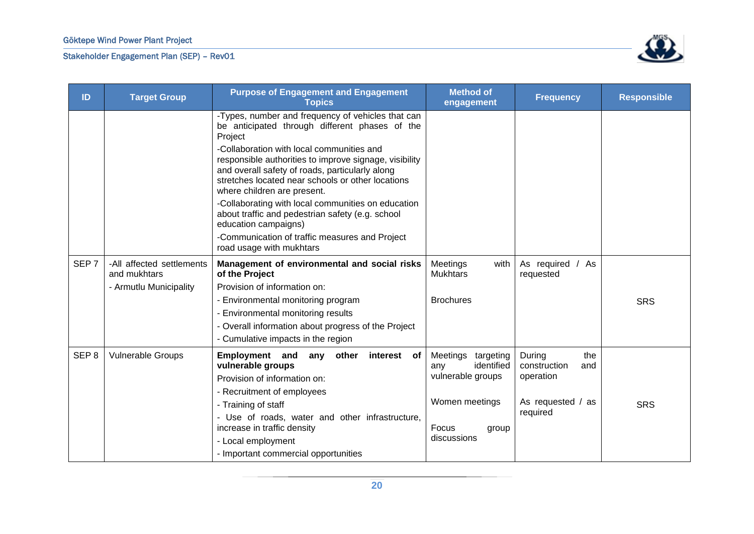

| ID               | <b>Target Group</b>                       | <b>Purpose of Engagement and Engagement</b><br><b>Topics</b>                                                                                                                                                                               | <b>Method of</b><br>engagement             | <b>Frequency</b>                     | <b>Responsible</b> |
|------------------|-------------------------------------------|--------------------------------------------------------------------------------------------------------------------------------------------------------------------------------------------------------------------------------------------|--------------------------------------------|--------------------------------------|--------------------|
|                  |                                           | -Types, number and frequency of vehicles that can<br>be anticipated through different phases of the<br>Project                                                                                                                             |                                            |                                      |                    |
|                  |                                           | -Collaboration with local communities and<br>responsible authorities to improve signage, visibility<br>and overall safety of roads, particularly along<br>stretches located near schools or other locations<br>where children are present. |                                            |                                      |                    |
|                  |                                           | -Collaborating with local communities on education<br>about traffic and pedestrian safety (e.g. school<br>education campaigns)                                                                                                             |                                            |                                      |                    |
|                  |                                           | -Communication of traffic measures and Project<br>road usage with mukhtars                                                                                                                                                                 |                                            |                                      |                    |
| SEP <sub>7</sub> | -All affected settlements<br>and mukhtars | Management of environmental and social risks<br>of the Project                                                                                                                                                                             | Meetings<br>with<br><b>Mukhtars</b>        | As required / As<br>requested        |                    |
|                  | - Armutlu Municipality                    | Provision of information on:                                                                                                                                                                                                               |                                            |                                      |                    |
|                  |                                           | - Environmental monitoring program                                                                                                                                                                                                         | <b>Brochures</b>                           |                                      | <b>SRS</b>         |
|                  |                                           | - Environmental monitoring results                                                                                                                                                                                                         |                                            |                                      |                    |
|                  |                                           | - Overall information about progress of the Project                                                                                                                                                                                        |                                            |                                      |                    |
|                  |                                           | - Cumulative impacts in the region                                                                                                                                                                                                         |                                            |                                      |                    |
| SEP <sub>8</sub> | <b>Vulnerable Groups</b>                  | Employment and<br>interest of<br>any<br>other<br>vulnerable groups                                                                                                                                                                         | Meetings<br>targeting<br>identified<br>any | During<br>the<br>construction<br>and |                    |
|                  |                                           | Provision of information on:                                                                                                                                                                                                               | vulnerable groups                          | operation                            |                    |
|                  |                                           | - Recruitment of employees                                                                                                                                                                                                                 |                                            |                                      |                    |
|                  |                                           | - Training of staff                                                                                                                                                                                                                        | Women meetings                             | As requested / as<br>required        | <b>SRS</b>         |
|                  |                                           | - Use of roads, water and other infrastructure,<br>increase in traffic density                                                                                                                                                             | Focus<br>group                             |                                      |                    |
|                  |                                           | - Local employment                                                                                                                                                                                                                         | discussions                                |                                      |                    |
|                  |                                           | - Important commercial opportunities                                                                                                                                                                                                       |                                            |                                      |                    |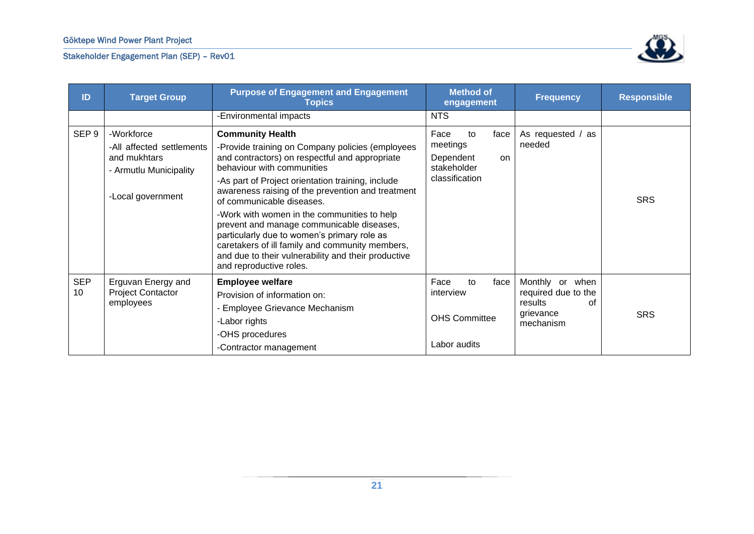

| ID               | <b>Target Group</b>                                                                                    | <b>Purpose of Engagement and Engagement</b><br><b>Topics</b>                                                                                                                                                                                                                                                                                                                                                                                                                                                                                                                       | <b>Method of</b><br><b>Frequency</b><br>engagement                                 |                                                                                   | <b>Responsible</b> |
|------------------|--------------------------------------------------------------------------------------------------------|------------------------------------------------------------------------------------------------------------------------------------------------------------------------------------------------------------------------------------------------------------------------------------------------------------------------------------------------------------------------------------------------------------------------------------------------------------------------------------------------------------------------------------------------------------------------------------|------------------------------------------------------------------------------------|-----------------------------------------------------------------------------------|--------------------|
|                  |                                                                                                        | -Environmental impacts                                                                                                                                                                                                                                                                                                                                                                                                                                                                                                                                                             | <b>NTS</b>                                                                         |                                                                                   |                    |
| SEP <sub>9</sub> | -Workforce<br>-All affected settlements<br>and mukhtars<br>- Armutlu Municipality<br>-Local government | <b>Community Health</b><br>-Provide training on Company policies (employees<br>and contractors) on respectful and appropriate<br>behaviour with communities<br>-As part of Project orientation training, include<br>awareness raising of the prevention and treatment<br>of communicable diseases.<br>-Work with women in the communities to help<br>prevent and manage communicable diseases,<br>particularly due to women's primary role as<br>caretakers of ill family and community members,<br>and due to their vulnerability and their productive<br>and reproductive roles. | Face<br>to<br>face<br>meetings<br>Dependent<br>on<br>stakeholder<br>classification | As requested / as<br>needed                                                       | <b>SRS</b>         |
| <b>SEP</b><br>10 | Erguvan Energy and<br><b>Project Contactor</b><br>employees                                            | <b>Employee welfare</b><br>Provision of information on:<br>Employee Grievance Mechanism<br>-Labor rights<br>-OHS procedures<br>-Contractor management                                                                                                                                                                                                                                                                                                                                                                                                                              | Face<br>to<br>face<br>interview<br><b>OHS Committee</b><br>Labor audits            | Monthly or when<br>required due to the<br>results<br>of<br>grievance<br>mechanism | <b>SRS</b>         |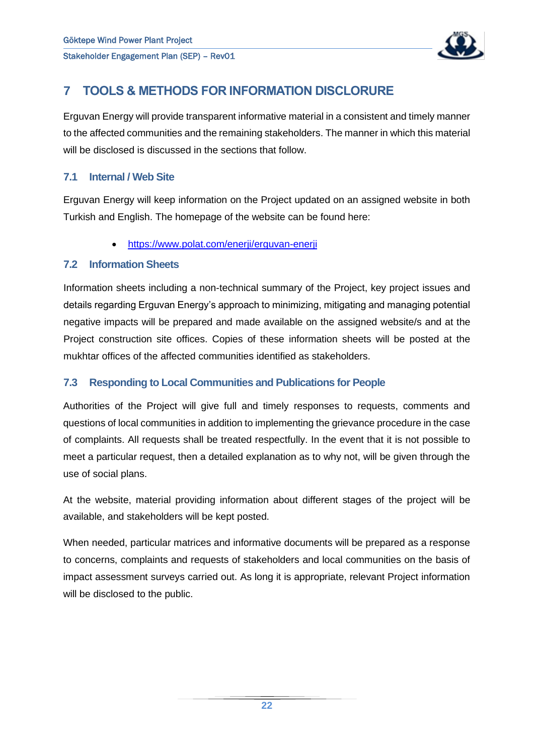

## <span id="page-22-0"></span>**7 TOOLS & METHODS FOR INFORMATION DISCLORURE**

Erguvan Energy will provide transparent informative material in a consistent and timely manner to the affected communities and the remaining stakeholders. The manner in which this material will be disclosed is discussed in the sections that follow.

#### <span id="page-22-1"></span>**7.1 Internal / Web Site**

Erguvan Energy will keep information on the Project updated on an assigned website in both Turkish and English. The homepage of the website can be found here:

• <https://www.polat.com/enerji/erguvan-enerji>

#### <span id="page-22-2"></span>**7.2 Information Sheets**

Information sheets including a non-technical summary of the Project, key project issues and details regarding Erguvan Energy's approach to minimizing, mitigating and managing potential negative impacts will be prepared and made available on the assigned website/s and at the Project construction site offices. Copies of these information sheets will be posted at the mukhtar offices of the affected communities identified as stakeholders.

#### <span id="page-22-3"></span>**7.3 Responding to Local Communities and Publications for People**

Authorities of the Project will give full and timely responses to requests, comments and questions of local communities in addition to implementing the grievance procedure in the case of complaints. All requests shall be treated respectfully. In the event that it is not possible to meet a particular request, then a detailed explanation as to why not, will be given through the use of social plans.

At the website, material providing information about different stages of the project will be available, and stakeholders will be kept posted.

When needed, particular matrices and informative documents will be prepared as a response to concerns, complaints and requests of stakeholders and local communities on the basis of impact assessment surveys carried out. As long it is appropriate, relevant Project information will be disclosed to the public.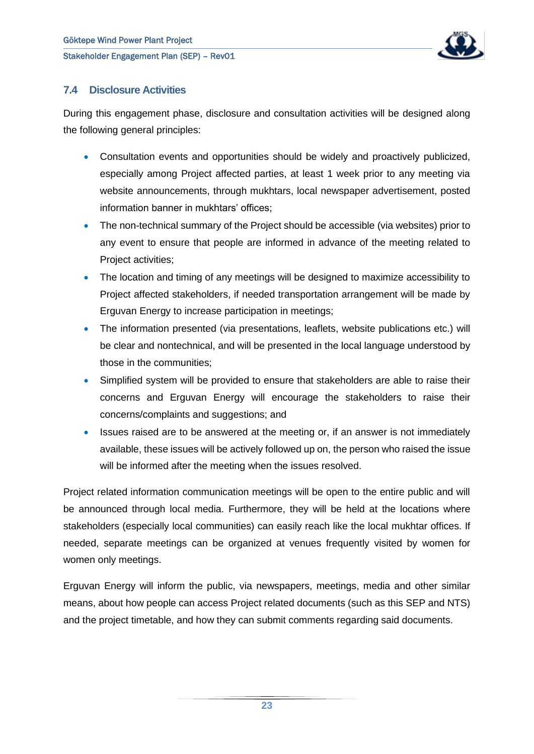

#### <span id="page-23-0"></span>**7.4 Disclosure Activities**

During this engagement phase, disclosure and consultation activities will be designed along the following general principles:

- Consultation events and opportunities should be widely and proactively publicized, especially among Project affected parties, at least 1 week prior to any meeting via website announcements, through mukhtars, local newspaper advertisement, posted information banner in mukhtars' offices;
- The non-technical summary of the Project should be accessible (via websites) prior to any event to ensure that people are informed in advance of the meeting related to Project activities;
- The location and timing of any meetings will be designed to maximize accessibility to Project affected stakeholders, if needed transportation arrangement will be made by Erguvan Energy to increase participation in meetings;
- The information presented (via presentations, leaflets, website publications etc.) will be clear and nontechnical, and will be presented in the local language understood by those in the communities;
- Simplified system will be provided to ensure that stakeholders are able to raise their concerns and Erguvan Energy will encourage the stakeholders to raise their concerns/complaints and suggestions; and
- Issues raised are to be answered at the meeting or, if an answer is not immediately available, these issues will be actively followed up on, the person who raised the issue will be informed after the meeting when the issues resolved.

Project related information communication meetings will be open to the entire public and will be announced through local media. Furthermore, they will be held at the locations where stakeholders (especially local communities) can easily reach like the local mukhtar offices. If needed, separate meetings can be organized at venues frequently visited by women for women only meetings.

Erguvan Energy will inform the public, via newspapers, meetings, media and other similar means, about how people can access Project related documents (such as this SEP and NTS) and the project timetable, and how they can submit comments regarding said documents.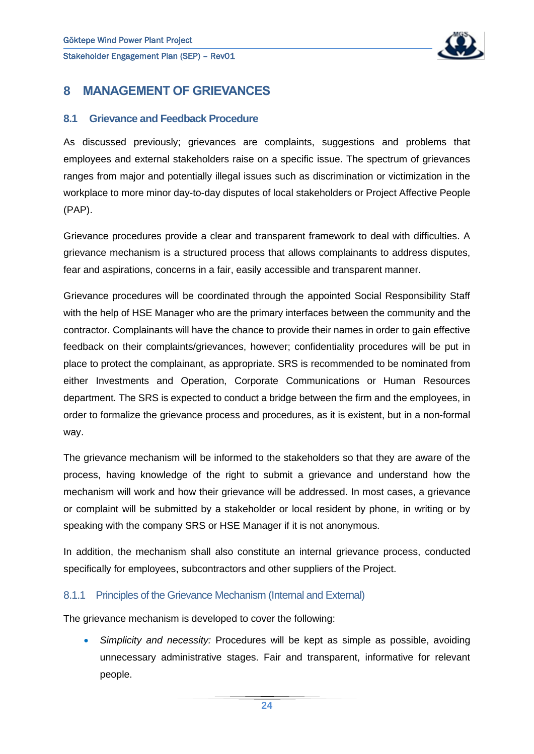

## <span id="page-24-0"></span>**8 MANAGEMENT OF GRIEVANCES**

#### <span id="page-24-1"></span>**8.1 Grievance and Feedback Procedure**

As discussed previously; grievances are complaints, suggestions and problems that employees and external stakeholders raise on a specific issue. The spectrum of grievances ranges from major and potentially illegal issues such as discrimination or victimization in the workplace to more minor day-to-day disputes of local stakeholders or Project Affective People (PAP).

Grievance procedures provide a clear and transparent framework to deal with difficulties. A grievance mechanism is a structured process that allows complainants to address disputes, fear and aspirations, concerns in a fair, easily accessible and transparent manner.

Grievance procedures will be coordinated through the appointed Social Responsibility Staff with the help of HSE Manager who are the primary interfaces between the community and the contractor. Complainants will have the chance to provide their names in order to gain effective feedback on their complaints/grievances, however; confidentiality procedures will be put in place to protect the complainant, as appropriate. SRS is recommended to be nominated from either Investments and Operation, Corporate Communications or Human Resources department. The SRS is expected to conduct a bridge between the firm and the employees, in order to formalize the grievance process and procedures, as it is existent, but in a non-formal way.

The grievance mechanism will be informed to the stakeholders so that they are aware of the process, having knowledge of the right to submit a grievance and understand how the mechanism will work and how their grievance will be addressed. In most cases, a grievance or complaint will be submitted by a stakeholder or local resident by phone, in writing or by speaking with the company SRS or HSE Manager if it is not anonymous.

In addition, the mechanism shall also constitute an internal grievance process, conducted specifically for employees, subcontractors and other suppliers of the Project.

#### <span id="page-24-2"></span>8.1.1 Principles of the Grievance Mechanism (Internal and External)

The grievance mechanism is developed to cover the following:

• *Simplicity and necessity:* Procedures will be kept as simple as possible, avoiding unnecessary administrative stages. Fair and transparent, informative for relevant people.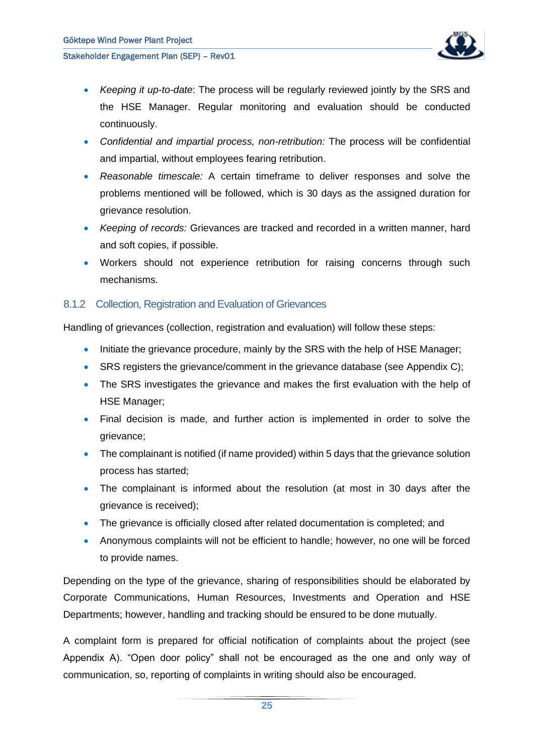

- *Keeping it up-to-date*: The process will be regularly reviewed jointly by the SRS and the HSE Manager. Regular monitoring and evaluation should be conducted continuously.
- *Confidential and impartial process, non-retribution:* The process will be confidential and impartial, without employees fearing retribution.
- *Reasonable timescale:* A certain timeframe to deliver responses and solve the problems mentioned will be followed, which is 30 days as the assigned duration for grievance resolution.
- *Keeping of records:* Grievances are tracked and recorded in a written manner, hard and soft copies, if possible.
- Workers should not experience retribution for raising concerns through such mechanisms.

#### <span id="page-25-0"></span>8.1.2 Collection, Registration and Evaluation of Grievances

Handling of grievances (collection, registration and evaluation) will follow these steps:

- Initiate the grievance procedure, mainly by the SRS with the help of HSE Manager;
- SRS registers the grievance/comment in the grievance database (see Appendix C);
- The SRS investigates the grievance and makes the first evaluation with the help of HSE Manager;
- Final decision is made, and further action is implemented in order to solve the grievance;
- The complainant is notified (if name provided) within 5 days that the grievance solution process has started;
- The complainant is informed about the resolution (at most in 30 days after the grievance is received);
- The grievance is officially closed after related documentation is completed; and
- Anonymous complaints will not be efficient to handle; however, no one will be forced to provide names.

Depending on the type of the grievance, sharing of responsibilities should be elaborated by Corporate Communications, Human Resources, Investments and Operation and HSE Departments; however, handling and tracking should be ensured to be done mutually.

A complaint form is prepared for official notification of complaints about the project (see Appendix A). "Open door policy" shall not be encouraged as the one and only way of communication, so, reporting of complaints in writing should also be encouraged.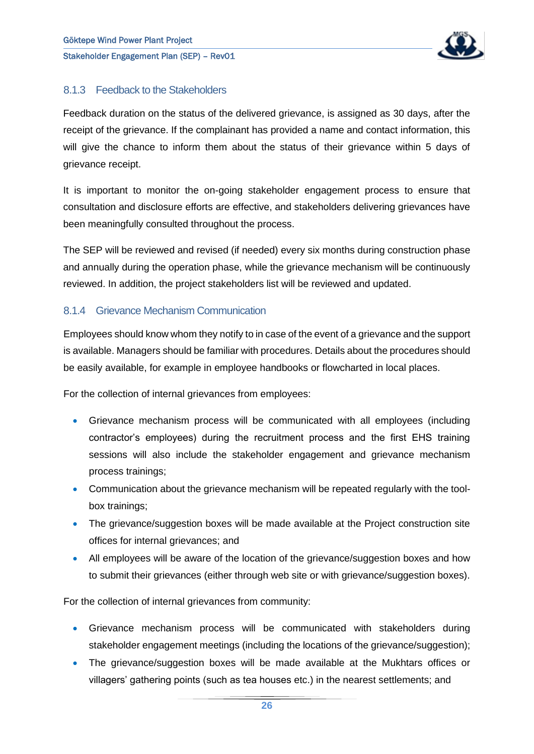

#### <span id="page-26-0"></span>8.1.3 Feedback to the Stakeholders

Feedback duration on the status of the delivered grievance, is assigned as 30 days, after the receipt of the grievance. If the complainant has provided a name and contact information, this will give the chance to inform them about the status of their grievance within 5 days of grievance receipt.

It is important to monitor the on-going stakeholder engagement process to ensure that consultation and disclosure efforts are effective, and stakeholders delivering grievances have been meaningfully consulted throughout the process.

The SEP will be reviewed and revised (if needed) every six months during construction phase and annually during the operation phase, while the grievance mechanism will be continuously reviewed. In addition, the project stakeholders list will be reviewed and updated.

#### <span id="page-26-1"></span>8.1.4 Grievance Mechanism Communication

Employees should know whom they notify to in case of the event of a grievance and the support is available. Managers should be familiar with procedures. Details about the procedures should be easily available, for example in employee handbooks or flowcharted in local places.

For the collection of internal grievances from employees:

- Grievance mechanism process will be communicated with all employees (including contractor's employees) during the recruitment process and the first EHS training sessions will also include the stakeholder engagement and grievance mechanism process trainings;
- Communication about the grievance mechanism will be repeated regularly with the toolbox trainings;
- The grievance/suggestion boxes will be made available at the Project construction site offices for internal grievances; and
- All employees will be aware of the location of the grievance/suggestion boxes and how to submit their grievances (either through web site or with grievance/suggestion boxes).

For the collection of internal grievances from community:

- Grievance mechanism process will be communicated with stakeholders during stakeholder engagement meetings (including the locations of the grievance/suggestion);
- The grievance/suggestion boxes will be made available at the Mukhtars offices or villagers' gathering points (such as tea houses etc.) in the nearest settlements; and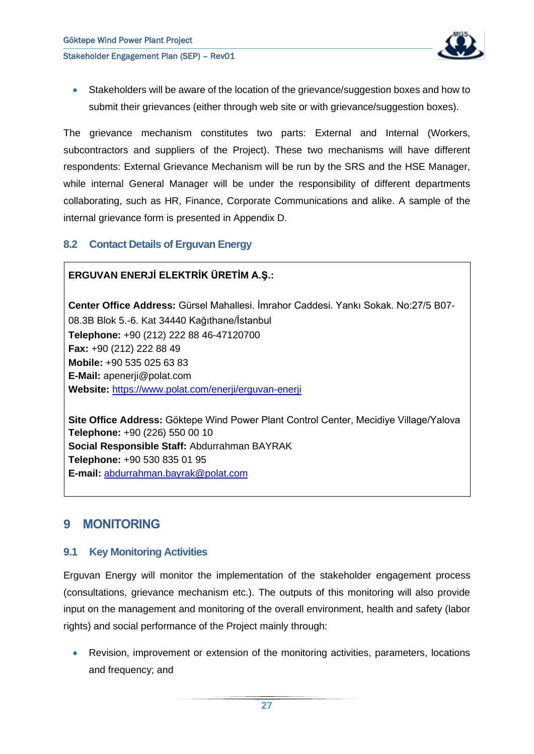

• Stakeholders will be aware of the location of the grievance/suggestion boxes and how to submit their grievances (either through web site or with grievance/suggestion boxes).

The grievance mechanism constitutes two parts: External and Internal (Workers, subcontractors and suppliers of the Project). These two mechanisms will have different respondents: External Grievance Mechanism will be run by the SRS and the HSE Manager, while internal General Manager will be under the responsibility of different departments collaborating, such as HR, Finance, Corporate Communications and alike. A sample of the internal grievance form is presented in Appendix D.

#### <span id="page-27-0"></span>**8.2 Contact Details of Erguvan Energy**

#### **ERGUVAN ENERJİ ELEKTRİK ÜRETİM A.Ş.:**

**Center Office Address:** Gürsel Mahallesi. İmrahor Caddesi. Yankı Sokak. No:27/5 B07- 08.3B Blok 5.-6. Kat 34440 Kağıthane/İstanbul **Telephone:** +90 (212) 222 88 46-47120700 **Fax:** +90 (212) 222 88 49 **Mobile:** +90 535 025 63 83 **E-Mail:** apenerji@polat.com **Website:** <https://www.polat.com/enerji/erguvan-enerji>

**Site Office Address:** Göktepe Wind Power Plant Control Center, Mecidiye Village/Yalova **Telephone:** +90 (226) 550 00 10 **Social Responsible Staff:** Abdurrahman BAYRAK **Telephone:** +90 530 835 01 95 **E-mail:** [abdurrahman.bayrak@polat.com](mailto:abdurrahman.bayrak@polat.com)

## <span id="page-27-1"></span>**9 MONITORING**

#### <span id="page-27-2"></span>**9.1 Key Monitoring Activities**

Erguvan Energy will monitor the implementation of the stakeholder engagement process (consultations, grievance mechanism etc.). The outputs of this monitoring will also provide input on the management and monitoring of the overall environment, health and safety (labor rights) and social performance of the Project mainly through:

• Revision, improvement or extension of the monitoring activities, parameters, locations and frequency; and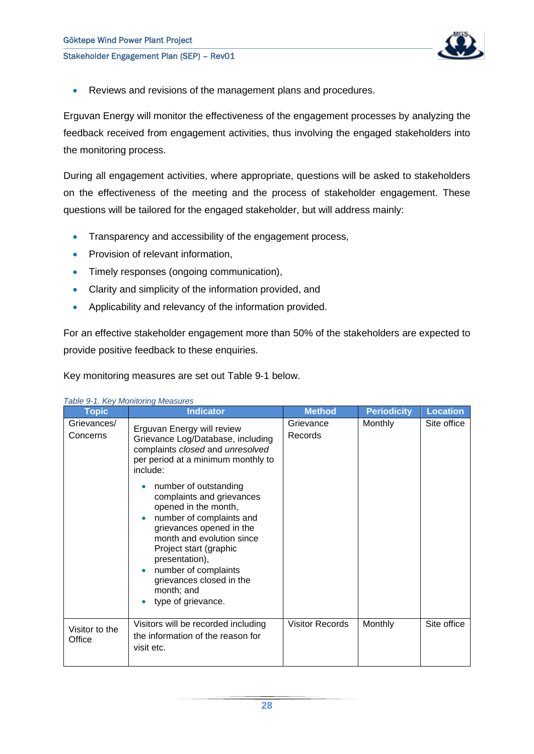

• Reviews and revisions of the management plans and procedures.

Erguvan Energy will monitor the effectiveness of the engagement processes by analyzing the feedback received from engagement activities, thus involving the engaged stakeholders into the monitoring process.

During all engagement activities, where appropriate, questions will be asked to stakeholders on the effectiveness of the meeting and the process of stakeholder engagement. These questions will be tailored for the engaged stakeholder, but will address mainly:

- Transparency and accessibility of the engagement process,
- Provision of relevant information,
- Timely responses (ongoing communication),
- Clarity and simplicity of the information provided, and
- Applicability and relevancy of the information provided.

For an effective stakeholder engagement more than 50% of the stakeholders are expected to provide positive feedback to these enquiries.

Key monitoring measures are set out [Table 9-1](#page-28-0) below.

| <b>Topic</b>             | <b>Indicator</b>                                                                                                                                                                                                                                                                                                                                                                                                                                                                            | <b>Method</b>          | <b>Periodicity</b> | <b>Location</b> |
|--------------------------|---------------------------------------------------------------------------------------------------------------------------------------------------------------------------------------------------------------------------------------------------------------------------------------------------------------------------------------------------------------------------------------------------------------------------------------------------------------------------------------------|------------------------|--------------------|-----------------|
| Grievances/<br>Concerns  | Erguvan Energy will review<br>Grievance Log/Database, including<br>complaints closed and unresolved<br>per period at a minimum monthly to<br>include:<br>number of outstanding<br>complaints and grievances<br>opened in the month,<br>number of complaints and<br>$\bullet$<br>grievances opened in the<br>month and evolution since<br>Project start (graphic<br>presentation),<br>number of complaints<br>۰<br>grievances closed in the<br>month; and<br>type of grievance.<br>$\bullet$ | Grievance<br>Records   | <b>Monthly</b>     | Site office     |
| Visitor to the<br>Office | Visitors will be recorded including<br>the information of the reason for<br>visit etc.                                                                                                                                                                                                                                                                                                                                                                                                      | <b>Visitor Records</b> | Monthly            | Site office     |

#### <span id="page-28-0"></span>*Table 9-1. Key Monitoring Measures*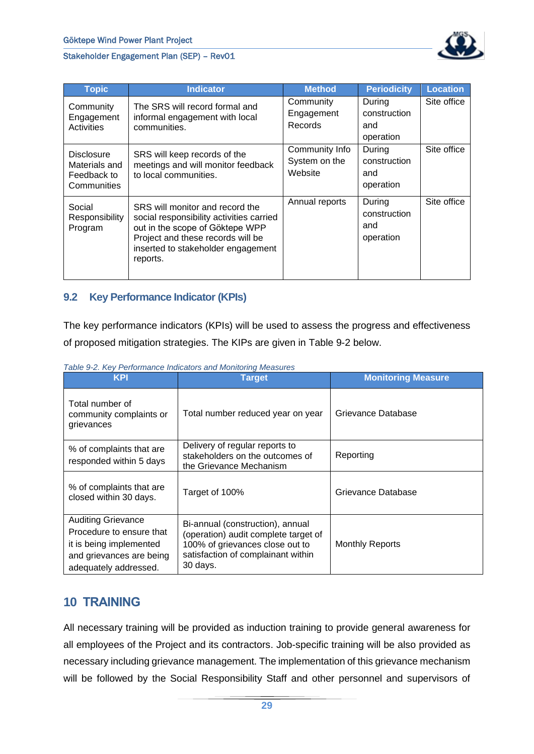

| <b>Topic</b>                                                     | <b>Indicator</b>                                                                                                                                                                                      | <b>Method</b>                              | <b>Periodicity</b>                         | <b>Location</b> |
|------------------------------------------------------------------|-------------------------------------------------------------------------------------------------------------------------------------------------------------------------------------------------------|--------------------------------------------|--------------------------------------------|-----------------|
| Community<br>Engagement<br><b>Activities</b>                     | The SRS will record formal and<br>informal engagement with local<br>communities.                                                                                                                      | Community<br>Engagement<br>Records         | During<br>construction<br>and<br>operation | Site office     |
| <b>Disclosure</b><br>Materials and<br>Feedback to<br>Communities | SRS will keep records of the<br>meetings and will monitor feedback<br>to local communities.                                                                                                           | Community Info<br>System on the<br>Website | During<br>construction<br>and<br>operation | Site office     |
| Social<br>Responsibility<br>Program                              | SRS will monitor and record the<br>social responsibility activities carried<br>out in the scope of Göktepe WPP<br>Project and these records will be<br>inserted to stakeholder engagement<br>reports. | Annual reports                             | During<br>construction<br>and<br>operation | Site office     |

#### <span id="page-29-0"></span>**9.2 Key Performance Indicator (KPIs)**

The key performance indicators (KPIs) will be used to assess the progress and effectiveness of proposed mitigation strategies. The KIPs are given in [Table 9-2](#page-29-2) below.

| <b>KPI</b>                                                                                                                            | <b>Target</b>                                                                                                                                                 | <b>Monitoring Measure</b> |
|---------------------------------------------------------------------------------------------------------------------------------------|---------------------------------------------------------------------------------------------------------------------------------------------------------------|---------------------------|
| Total number of<br>community complaints or<br>grievances                                                                              | Total number reduced year on year                                                                                                                             | Grievance Database        |
| % of complaints that are<br>responded within 5 days                                                                                   | Delivery of regular reports to<br>stakeholders on the outcomes of<br>the Grievance Mechanism                                                                  | Reporting                 |
| % of complaints that are<br>closed within 30 days.                                                                                    | Target of 100%                                                                                                                                                | Grievance Database        |
| <b>Auditing Grievance</b><br>Procedure to ensure that<br>it is being implemented<br>and grievances are being<br>adequately addressed. | Bi-annual (construction), annual<br>(operation) audit complete target of<br>100% of grievances close out to<br>satisfaction of complainant within<br>30 days. | Monthly Reports           |

<span id="page-29-2"></span>*Table 9-2. Key Performance Indicators and Monitoring Measures*

## <span id="page-29-1"></span>**10 TRAINING**

All necessary training will be provided as induction training to provide general awareness for all employees of the Project and its contractors. Job-specific training will be also provided as necessary including grievance management. The implementation of this grievance mechanism will be followed by the Social Responsibility Staff and other personnel and supervisors of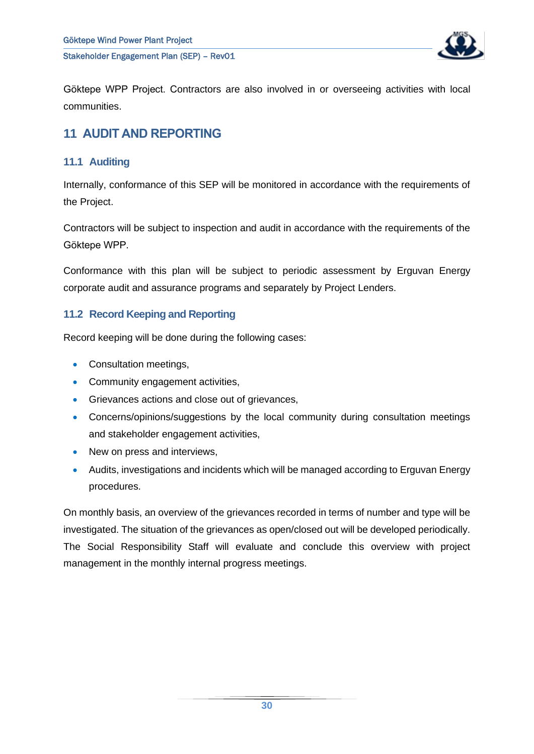

Göktepe WPP Project. Contractors are also involved in or overseeing activities with local communities.

## <span id="page-30-0"></span>**11 AUDIT AND REPORTING**

### <span id="page-30-1"></span>**11.1 Auditing**

Internally, conformance of this SEP will be monitored in accordance with the requirements of the Project.

Contractors will be subject to inspection and audit in accordance with the requirements of the Göktepe WPP.

Conformance with this plan will be subject to periodic assessment by Erguvan Energy corporate audit and assurance programs and separately by Project Lenders.

#### <span id="page-30-2"></span>**11.2 Record Keeping and Reporting**

Record keeping will be done during the following cases:

- Consultation meetings,
- Community engagement activities,
- Grievances actions and close out of grievances,
- Concerns/opinions/suggestions by the local community during consultation meetings and stakeholder engagement activities,
- New on press and interviews.
- Audits, investigations and incidents which will be managed according to Erguvan Energy procedures.

On monthly basis, an overview of the grievances recorded in terms of number and type will be investigated. The situation of the grievances as open/closed out will be developed periodically. The Social Responsibility Staff will evaluate and conclude this overview with project management in the monthly internal progress meetings.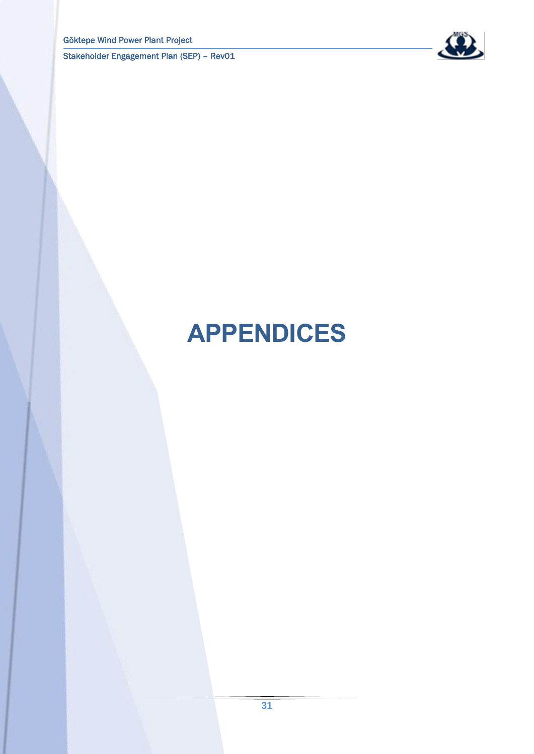

# <span id="page-31-0"></span>**APPENDICES**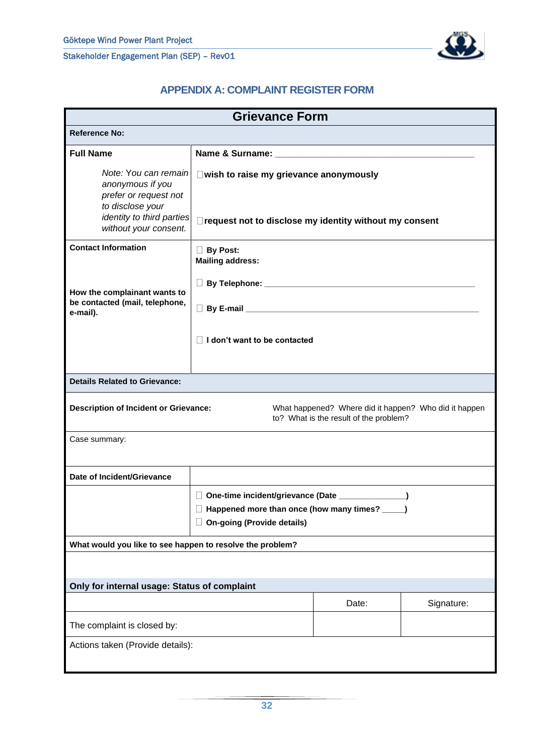

#### **APPENDIX A: COMPLAINT REGISTER FORM**

<span id="page-32-0"></span>

| <b>Grievance Form</b>                                                                                                                       |                                                                                                                                                     |                                                                                                 |  |  |  |
|---------------------------------------------------------------------------------------------------------------------------------------------|-----------------------------------------------------------------------------------------------------------------------------------------------------|-------------------------------------------------------------------------------------------------|--|--|--|
| <b>Reference No:</b>                                                                                                                        |                                                                                                                                                     |                                                                                                 |  |  |  |
| <b>Full Name</b>                                                                                                                            |                                                                                                                                                     |                                                                                                 |  |  |  |
| Note: You can remain<br>anonymous if you<br>prefer or request not<br>to disclose your<br>identity to third parties<br>without your consent. | $\square$ wish to raise my grievance anonymously<br>□ request not to disclose my identity without my consent                                        |                                                                                                 |  |  |  |
| <b>Contact Information</b>                                                                                                                  | <b>By Post:</b><br><b>Mailing address:</b>                                                                                                          |                                                                                                 |  |  |  |
| How the complainant wants to                                                                                                                |                                                                                                                                                     |                                                                                                 |  |  |  |
| be contacted (mail, telephone,<br>e-mail).                                                                                                  |                                                                                                                                                     |                                                                                                 |  |  |  |
|                                                                                                                                             | $\Box$ I don't want to be contacted                                                                                                                 |                                                                                                 |  |  |  |
| <b>Details Related to Grievance:</b>                                                                                                        |                                                                                                                                                     |                                                                                                 |  |  |  |
| <b>Description of Incident or Grievance:</b>                                                                                                |                                                                                                                                                     | What happened? Where did it happen? Who did it happen<br>to? What is the result of the problem? |  |  |  |
| Case summary:                                                                                                                               |                                                                                                                                                     |                                                                                                 |  |  |  |
| Date of Incident/Grievance                                                                                                                  |                                                                                                                                                     |                                                                                                 |  |  |  |
|                                                                                                                                             | □ One-time incident/grievance (Date _______________)<br>$\Box$ Happened more than once (how many times? _____)<br><b>On-going (Provide details)</b> |                                                                                                 |  |  |  |
| What would you like to see happen to resolve the problem?                                                                                   |                                                                                                                                                     |                                                                                                 |  |  |  |
|                                                                                                                                             |                                                                                                                                                     |                                                                                                 |  |  |  |
| Only for internal usage: Status of complaint                                                                                                |                                                                                                                                                     |                                                                                                 |  |  |  |
|                                                                                                                                             | Date:<br>Signature:                                                                                                                                 |                                                                                                 |  |  |  |
| The complaint is closed by:                                                                                                                 |                                                                                                                                                     |                                                                                                 |  |  |  |
| Actions taken (Provide details):                                                                                                            |                                                                                                                                                     |                                                                                                 |  |  |  |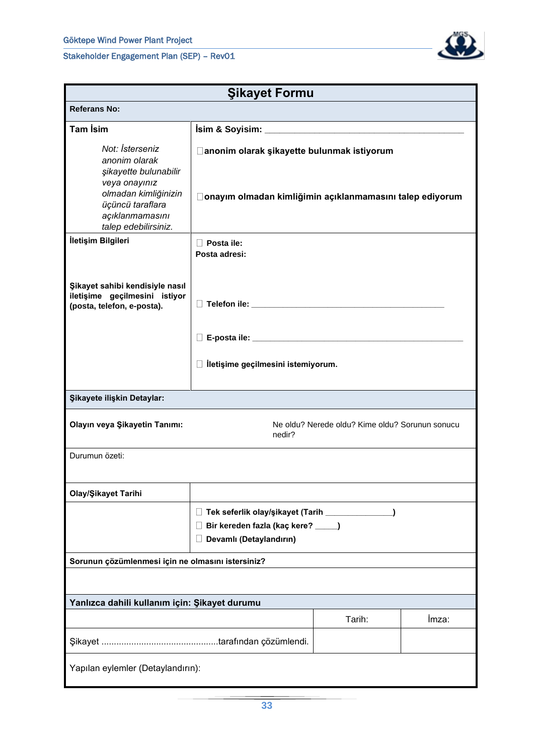

| <b>Şikayet Formu</b>                                                                                                                                              |                                                                                                                           |                                                 |       |  |  |
|-------------------------------------------------------------------------------------------------------------------------------------------------------------------|---------------------------------------------------------------------------------------------------------------------------|-------------------------------------------------|-------|--|--|
| <b>Referans No:</b>                                                                                                                                               |                                                                                                                           |                                                 |       |  |  |
| <b>Tam İsim</b>                                                                                                                                                   |                                                                                                                           |                                                 |       |  |  |
| Not: İsterseniz<br>anonim olarak<br>şikayette bulunabilir<br>veya onayınız<br>olmadan kimliğinizin<br>üçüncü taraflara<br>açıklanmamasını<br>talep edebilirsiniz. | □ anonim olarak şikayette bulunmak istiyorum<br>□ onayım olmadan kimliğimin açıklanmamasını talep ediyorum                |                                                 |       |  |  |
| İletişim Bilgileri                                                                                                                                                | $\Box$ Posta ile:<br>Posta adresi:                                                                                        |                                                 |       |  |  |
| Şikayet sahibi kendisiyle nasıl<br>iletişime geçilmesini istiyor<br>(posta, telefon, e-posta).                                                                    |                                                                                                                           |                                                 |       |  |  |
|                                                                                                                                                                   |                                                                                                                           |                                                 |       |  |  |
|                                                                                                                                                                   | $\Box$ İletişime geçilmesini istemiyorum.                                                                                 |                                                 |       |  |  |
| Şikayete ilişkin Detaylar:                                                                                                                                        |                                                                                                                           |                                                 |       |  |  |
| Olayın veya Şikayetin Tanımı:                                                                                                                                     | nedir?                                                                                                                    | Ne oldu? Nerede oldu? Kime oldu? Sorunun sonucu |       |  |  |
| Durumun özeti:                                                                                                                                                    |                                                                                                                           |                                                 |       |  |  |
| Olay/Şikayet Tarihi                                                                                                                                               |                                                                                                                           |                                                 |       |  |  |
|                                                                                                                                                                   | Tek seferlik olay/şikayet (Tarih _____________<br>$\Box$<br>Bir kereden fazla (kaç kere? ____)<br>Devamlı (Detaylandırın) |                                                 |       |  |  |
| Sorunun çözümlenmesi için ne olmasını istersiniz?                                                                                                                 |                                                                                                                           |                                                 |       |  |  |
|                                                                                                                                                                   |                                                                                                                           |                                                 |       |  |  |
| Yanlızca dahili kullanım için: Şikayet durumu                                                                                                                     |                                                                                                                           |                                                 |       |  |  |
|                                                                                                                                                                   |                                                                                                                           | Tarih:                                          | İmza: |  |  |
|                                                                                                                                                                   |                                                                                                                           |                                                 |       |  |  |
| Yapılan eylemler (Detaylandırın):                                                                                                                                 |                                                                                                                           |                                                 |       |  |  |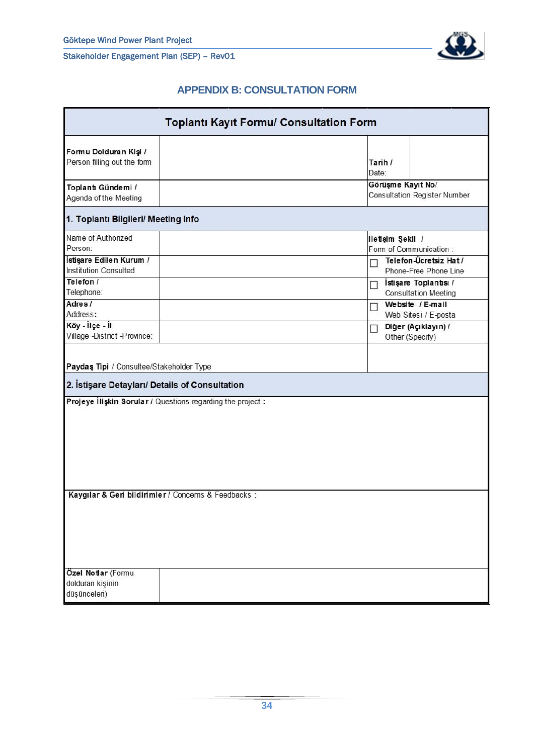

### **APPENDIX B: CONSULTATION FORM**

<span id="page-34-0"></span>

| <b>Toplanti Kayit Formu/ Consultation Form</b>                                                                                                                                               |                                                             |                                                                                                                                                                                                                                                                                   |  |  |
|----------------------------------------------------------------------------------------------------------------------------------------------------------------------------------------------|-------------------------------------------------------------|-----------------------------------------------------------------------------------------------------------------------------------------------------------------------------------------------------------------------------------------------------------------------------------|--|--|
| Formu Dolduran Kişi /<br>Person filling out the form                                                                                                                                         |                                                             | Tarih /<br>Date:                                                                                                                                                                                                                                                                  |  |  |
| Toplant Gündemi /<br>Agenda of the Meeting                                                                                                                                                   |                                                             | Görüşme Kayıt No/<br><b>Consultation Register Number</b>                                                                                                                                                                                                                          |  |  |
| 1. Toplantı Bilgileri/ Meeting Info                                                                                                                                                          |                                                             |                                                                                                                                                                                                                                                                                   |  |  |
| Name of Authorized<br>Person:<br>İstişare Edilen Kurum /<br><b>Institution Consulted</b><br>Telefon /<br>Telephone:<br>Adres/<br>Address:<br>Köy - İlçe - İl<br>Village -District -Province: |                                                             | İletişim Şekli /<br>Form of Communication:<br>Telefon-Ücretsiz Hat /<br>Phone-Free Phone Line<br>İstişare Toplantısı /<br>П<br><b>Consultation Meeting</b><br>Website / E-mail<br>П<br>Web Sitesi / E-posta<br>Diğer (Açıklayın) /<br>$\overline{\phantom{a}}$<br>Other (Specify) |  |  |
| Paydas Tipi / Consultee/Stakeholder Type<br>2. İstişare Detayları/ Details of Consultation                                                                                                   |                                                             |                                                                                                                                                                                                                                                                                   |  |  |
|                                                                                                                                                                                              | Projeye Ilişkin Sorular / Questions regarding the project : |                                                                                                                                                                                                                                                                                   |  |  |
| Özel Notlar (Formu                                                                                                                                                                           | Kaygılar & Geri bildirimler / Concerns & Feedbacks :        |                                                                                                                                                                                                                                                                                   |  |  |
| dolduran kişinin<br>düşünceleri)                                                                                                                                                             |                                                             |                                                                                                                                                                                                                                                                                   |  |  |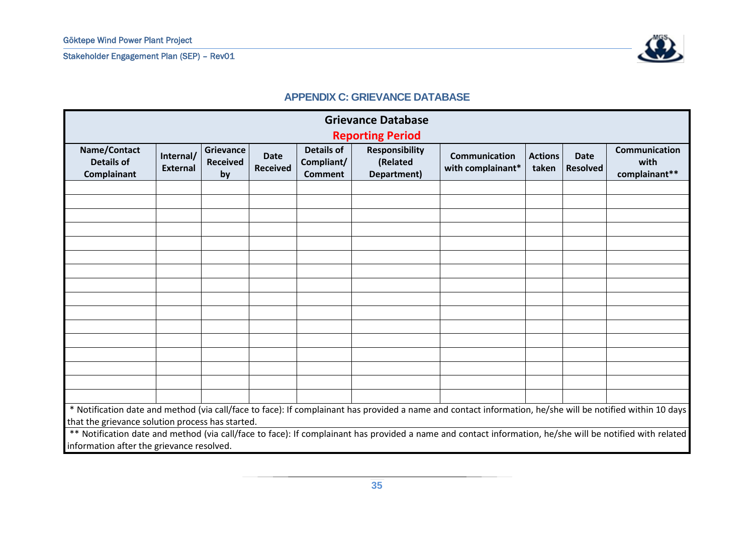

#### **APPENDIX C: GRIEVANCE DATABASE**

<span id="page-35-0"></span>

| <b>Grievance Database</b><br><b>Reporting Period</b> |                              |                                           |                                |                                                   |                                                  |                                                                                                                                                            |                         |                                |                                        |
|------------------------------------------------------|------------------------------|-------------------------------------------|--------------------------------|---------------------------------------------------|--------------------------------------------------|------------------------------------------------------------------------------------------------------------------------------------------------------------|-------------------------|--------------------------------|----------------------------------------|
| Name/Contact<br><b>Details of</b><br>Complainant     | Internal/<br><b>External</b> | <b>Grievance</b><br><b>Received</b><br>by | <b>Date</b><br><b>Received</b> | <b>Details of</b><br>Compliant/<br><b>Comment</b> | <b>Responsibility</b><br>(Related<br>Department) | Communication<br>with complainant*                                                                                                                         | <b>Actions</b><br>taken | <b>Date</b><br><b>Resolved</b> | Communication<br>with<br>complainant** |
|                                                      |                              |                                           |                                |                                                   |                                                  |                                                                                                                                                            |                         |                                |                                        |
|                                                      |                              |                                           |                                |                                                   |                                                  |                                                                                                                                                            |                         |                                |                                        |
|                                                      |                              |                                           |                                |                                                   |                                                  |                                                                                                                                                            |                         |                                |                                        |
|                                                      |                              |                                           |                                |                                                   |                                                  |                                                                                                                                                            |                         |                                |                                        |
|                                                      |                              |                                           |                                |                                                   |                                                  |                                                                                                                                                            |                         |                                |                                        |
|                                                      |                              |                                           |                                |                                                   |                                                  |                                                                                                                                                            |                         |                                |                                        |
|                                                      |                              |                                           |                                |                                                   |                                                  |                                                                                                                                                            |                         |                                |                                        |
|                                                      |                              |                                           |                                |                                                   |                                                  |                                                                                                                                                            |                         |                                |                                        |
|                                                      |                              |                                           |                                |                                                   |                                                  |                                                                                                                                                            |                         |                                |                                        |
|                                                      |                              |                                           |                                |                                                   |                                                  |                                                                                                                                                            |                         |                                |                                        |
|                                                      |                              |                                           |                                |                                                   |                                                  |                                                                                                                                                            |                         |                                |                                        |
|                                                      |                              |                                           |                                |                                                   |                                                  |                                                                                                                                                            |                         |                                |                                        |
|                                                      |                              |                                           |                                |                                                   |                                                  |                                                                                                                                                            |                         |                                |                                        |
|                                                      |                              |                                           |                                |                                                   |                                                  |                                                                                                                                                            |                         |                                |                                        |
|                                                      |                              |                                           |                                |                                                   |                                                  |                                                                                                                                                            |                         |                                |                                        |
|                                                      |                              |                                           |                                |                                                   |                                                  |                                                                                                                                                            |                         |                                |                                        |
| that the grievance solution process has started.     |                              |                                           |                                |                                                   |                                                  | * Notification date and method (via call/face to face): If complainant has provided a name and contact information, he/she will be notified within 10 days |                         |                                |                                        |
|                                                      |                              |                                           |                                |                                                   |                                                  | ** Notification date and method (via call/face to face): If complainant has provided a name and contact information, he/she will be notified with related  |                         |                                |                                        |
| information after the grievance resolved.            |                              |                                           |                                |                                                   |                                                  |                                                                                                                                                            |                         |                                |                                        |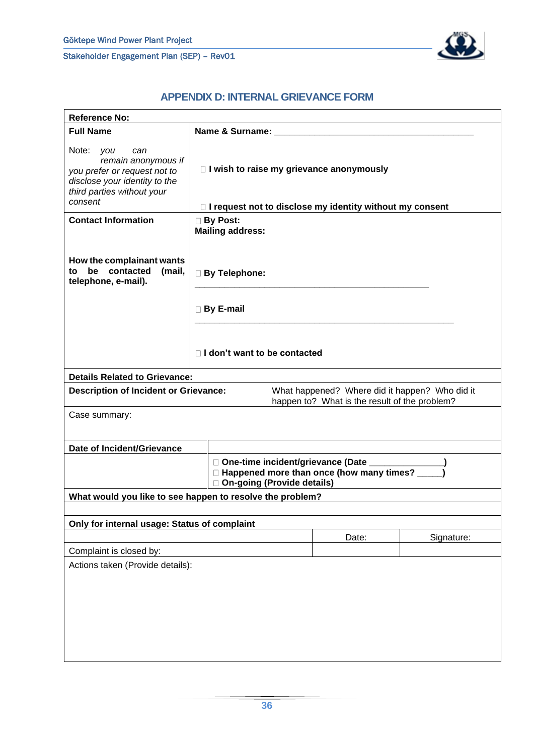

## **APPENDIX D: INTERNAL GRIEVANCE FORM**

<span id="page-36-0"></span>

| <b>Reference No:</b>                                                                                                                              |                                                                                                                                 |                                                                                                 |            |  |  |
|---------------------------------------------------------------------------------------------------------------------------------------------------|---------------------------------------------------------------------------------------------------------------------------------|-------------------------------------------------------------------------------------------------|------------|--|--|
| <b>Full Name</b>                                                                                                                                  |                                                                                                                                 |                                                                                                 |            |  |  |
| Note: you<br>can<br>remain anonymous if<br>you prefer or request not to<br>disclose your identity to the<br>third parties without your<br>consent | $\Box$ I wish to raise my grievance anonymously                                                                                 |                                                                                                 |            |  |  |
|                                                                                                                                                   | □ I request not to disclose my identity without my consent                                                                      |                                                                                                 |            |  |  |
| <b>Contact Information</b>                                                                                                                        | <b>Mailing address:</b>                                                                                                         | <b>By Post:</b>                                                                                 |            |  |  |
| How the complainant wants<br>be contacted<br>to<br>(mail,<br>telephone, e-mail).                                                                  | <b>By Telephone:</b>                                                                                                            |                                                                                                 |            |  |  |
|                                                                                                                                                   | <b>By E-mail</b>                                                                                                                |                                                                                                 |            |  |  |
|                                                                                                                                                   | $\Box$ I don't want to be contacted                                                                                             |                                                                                                 |            |  |  |
| <b>Details Related to Grievance:</b>                                                                                                              |                                                                                                                                 |                                                                                                 |            |  |  |
| <b>Description of Incident or Grievance:</b>                                                                                                      |                                                                                                                                 | What happened? Where did it happen? Who did it<br>happen to? What is the result of the problem? |            |  |  |
| Case summary:                                                                                                                                     |                                                                                                                                 |                                                                                                 |            |  |  |
| Date of Incident/Grievance                                                                                                                        |                                                                                                                                 |                                                                                                 |            |  |  |
|                                                                                                                                                   | □ One-time incident/grievance (Date ________<br>□ Happened more than once (how many times? ____<br>□ On-going (Provide details) |                                                                                                 |            |  |  |
|                                                                                                                                                   | What would you like to see happen to resolve the problem?                                                                       |                                                                                                 |            |  |  |
|                                                                                                                                                   |                                                                                                                                 |                                                                                                 |            |  |  |
| Only for internal usage: Status of complaint                                                                                                      |                                                                                                                                 |                                                                                                 |            |  |  |
|                                                                                                                                                   |                                                                                                                                 | Date:                                                                                           | Signature: |  |  |
| Complaint is closed by:                                                                                                                           |                                                                                                                                 |                                                                                                 |            |  |  |
| Actions taken (Provide details):                                                                                                                  |                                                                                                                                 |                                                                                                 |            |  |  |